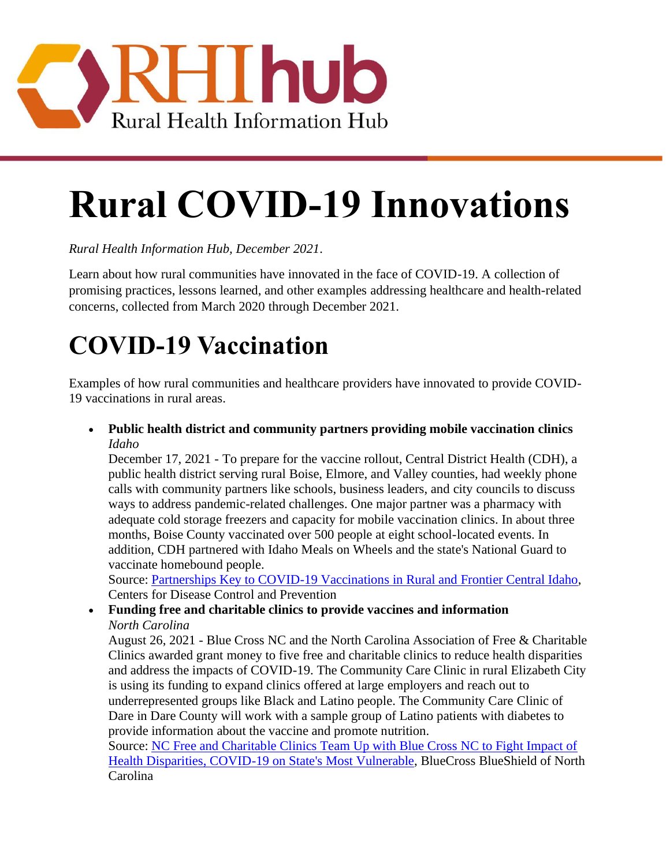

# **Rural COVID-19 Innovations**

*Rural Health Information Hub, December 2021.* 

Learn about how rural communities have innovated in the face of COVID-19. A collection of promising practices, lessons learned, and other examples addressing healthcare and health-related concerns, collected from March 2020 through December 2021.

# **COVID-19 Vaccination**

Examples of how rural communities and healthcare providers have innovated to provide COVID-19 vaccinations in rural areas.

• **Public health district and community partners providing mobile vaccination clinics**  *Idaho* 

December 17, 2021 - To prepare for the vaccine rollout, Central District Health (CDH), a public health district serving rural Boise, Elmore, and Valley counties, had weekly phone calls with community partners like schools, business leaders, and city councils to discuss ways to address pandemic-related challenges. One major partner was a pharmacy with adequate cold storage freezers and capacity for mobile vaccination clinics. In about three months, Boise County vaccinated over 500 people at eight school-located events. In addition, CDH partnered with Idaho Meals on Wheels and the state's National Guard to vaccinate homebound people.

Source: [Partnerships Key to COVID-19 Vaccinations in Rural and Frontier Central Idaho,](https://www.cdc.gov/vaccines/covid-19/health-departments/features/rural-idaho.html) Centers for Disease Control and Prevention

# • **Funding free and charitable clinics to provide vaccines and information**  *North Carolina*

August 26, 2021 - Blue Cross NC and the North Carolina Association of Free & Charitable Clinics awarded grant money to five free and charitable clinics to reduce health disparities and address the impacts of COVID-19. The Community Care Clinic in rural Elizabeth City is using its funding to expand clinics offered at large employers and reach out to underrepresented groups like Black and Latino people. The Community Care Clinic of Dare in Dare County will work with a sample group of Latino patients with diabetes to provide information about the vaccine and promote nutrition.

Source: [NC Free and Charitable Clinics Team Up with Blue Cross NC to Fight Impact of](https://mediacenter.bcbsnc.com/news/nc-free-and-charitable-clinics-team-up-with-blue-cross-nc-to-fight-impact-of-health-disparities-covid-19-on-states-most-vulnerable)  [Health Disparities, COVID-19 on State's Most Vulnerable,](https://mediacenter.bcbsnc.com/news/nc-free-and-charitable-clinics-team-up-with-blue-cross-nc-to-fight-impact-of-health-disparities-covid-19-on-states-most-vulnerable) BlueCross BlueShield of North Carolina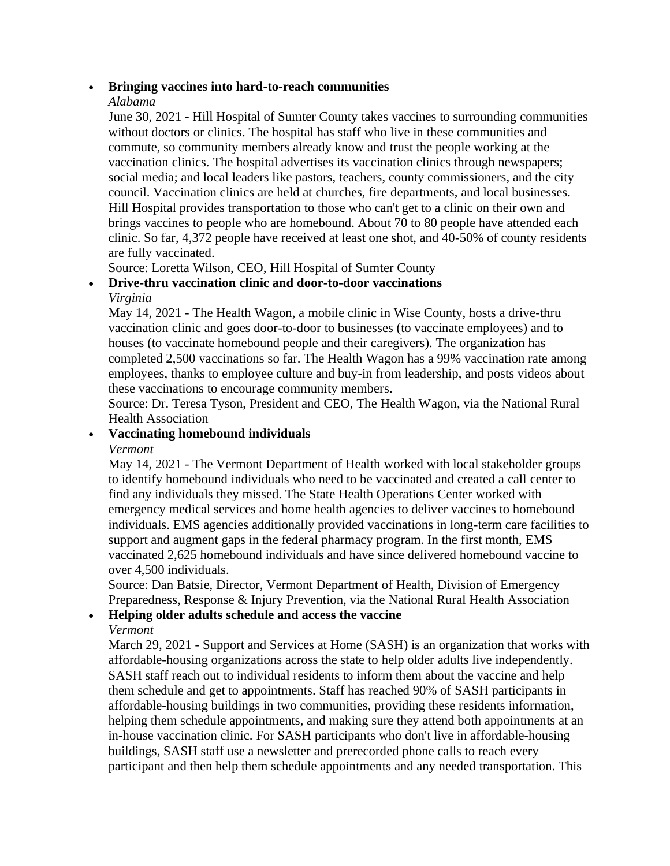#### • **Bringing vaccines into hard-to-reach communities**

#### *Alabama*

June 30, 2021 - Hill Hospital of Sumter County takes vaccines to surrounding communities without doctors or clinics. The hospital has staff who live in these communities and commute, so community members already know and trust the people working at the vaccination clinics. The hospital advertises its vaccination clinics through newspapers; social media; and local leaders like pastors, teachers, county commissioners, and the city council. Vaccination clinics are held at churches, fire departments, and local businesses. Hill Hospital provides transportation to those who can't get to a clinic on their own and brings vaccines to people who are homebound. About 70 to 80 people have attended each clinic. So far, 4,372 people have received at least one shot, and 40-50% of county residents are fully vaccinated.

Source: Loretta Wilson, CEO, Hill Hospital of Sumter County

#### • **Drive-thru vaccination clinic and door-to-door vaccinations**  *Virginia*

May 14, 2021 - The Health Wagon, a mobile clinic in Wise County, hosts a drive-thru vaccination clinic and goes door-to-door to businesses (to vaccinate employees) and to houses (to vaccinate homebound people and their caregivers). The organization has completed 2,500 vaccinations so far. The Health Wagon has a 99% vaccination rate among employees, thanks to employee culture and buy-in from leadership, and posts videos about these vaccinations to encourage community members.

Source: Dr. Teresa Tyson, President and CEO, The Health Wagon, via the National Rural Health Association

#### • **Vaccinating homebound individuals**

#### *Vermont*

May 14, 2021 - The Vermont Department of Health worked with local stakeholder groups to identify homebound individuals who need to be vaccinated and created a call center to find any individuals they missed. The State Health Operations Center worked with emergency medical services and home health agencies to deliver vaccines to homebound individuals. EMS agencies additionally provided vaccinations in long-term care facilities to support and augment gaps in the federal pharmacy program. In the first month, EMS vaccinated 2,625 homebound individuals and have since delivered homebound vaccine to over 4,500 individuals.

Source: Dan Batsie, Director, Vermont Department of Health, Division of Emergency Preparedness, Response & Injury Prevention, via the National Rural Health Association

#### • **Helping older adults schedule and access the vaccine**

#### *Vermont*

March 29, 2021 - Support and Services at Home (SASH) is an organization that works with affordable-housing organizations across the state to help older adults live independently. SASH staff reach out to individual residents to inform them about the vaccine and help them schedule and get to appointments. Staff has reached 90% of SASH participants in affordable-housing buildings in two communities, providing these residents information, helping them schedule appointments, and making sure they attend both appointments at an in-house vaccination clinic. For SASH participants who don't live in affordable-housing buildings, SASH staff use a newsletter and prerecorded phone calls to reach every participant and then help them schedule appointments and any needed transportation. This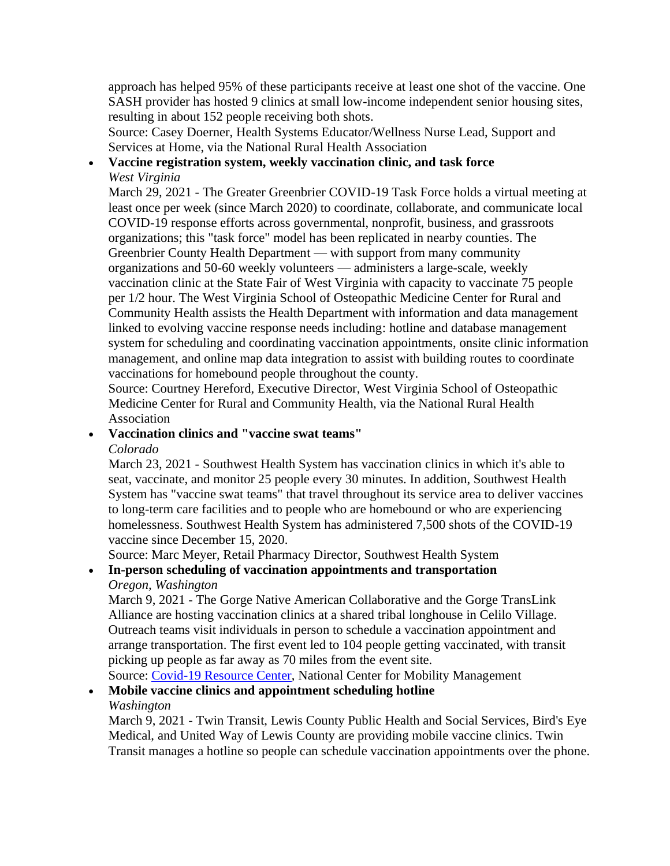approach has helped 95% of these participants receive at least one shot of the vaccine. One SASH provider has hosted 9 clinics at small low-income independent senior housing sites, resulting in about 152 people receiving both shots.

Source: Casey Doerner, Health Systems Educator/Wellness Nurse Lead, Support and Services at Home, via the National Rural Health Association

# • **Vaccine registration system, weekly vaccination clinic, and task force**  *West Virginia*

 March 29, 2021 - The Greater Greenbrier COVID-19 Task Force holds a virtual meeting at least once per week (since March 2020) to coordinate, collaborate, and communicate local vaccination clinic at the State Fair of West Virginia with capacity to vaccinate 75 people COVID-19 response efforts across governmental, nonprofit, business, and grassroots organizations; this "task force" model has been replicated in nearby counties. The Greenbrier County Health Department — with support from many community organizations and 50-60 weekly volunteers — administers a large-scale, weekly per 1/2 hour. The West Virginia School of Osteopathic Medicine Center for Rural and Community Health assists the Health Department with information and data management linked to evolving vaccine response needs including: hotline and database management system for scheduling and coordinating vaccination appointments, onsite clinic information management, and online map data integration to assist with building routes to coordinate vaccinations for homebound people throughout the county.

Source: Courtney Hereford, Executive Director, West Virginia School of Osteopathic Medicine Center for Rural and Community Health, via the National Rural Health Association

#### • **Vaccination clinics and "vaccine swat teams"**

#### *Colorado*

March 23, 2021 - Southwest Health System has vaccination clinics in which it's able to seat, vaccinate, and monitor 25 people every 30 minutes. In addition, Southwest Health System has "vaccine swat teams" that travel throughout its service area to deliver vaccines to long-term care facilities and to people who are homebound or who are experiencing homelessness. Southwest Health System has administered 7,500 shots of the COVID-19 vaccine since December 15, 2020.

Source: Marc Meyer, Retail Pharmacy Director, Southwest Health System

#### • **In-person scheduling of vaccination appointments and transportation**  *Oregon, Washington*

 March 9, 2021 - The Gorge Native American Collaborative and the Gorge TransLink arrange transportation. The first event led to 104 people getting vaccinated, with transit Alliance are hosting vaccination clinics at a shared tribal longhouse in Celilo Village. Outreach teams visit individuals in person to schedule a vaccination appointment and picking up people as far away as 70 miles from the event site.

Source: [Covid-19 Resource Center,](https://nationalcenterformobilitymanagement.org/covid-19-resource-center/) National Center for Mobility Management

# • **Mobile vaccine clinics and appointment scheduling hotline**

#### *Washington*

March 9, 2021 - Twin Transit, Lewis County Public Health and Social Services, Bird's Eye Medical, and United Way of Lewis County are providing mobile vaccine clinics. Twin Transit manages a hotline so people can schedule vaccination appointments over the phone.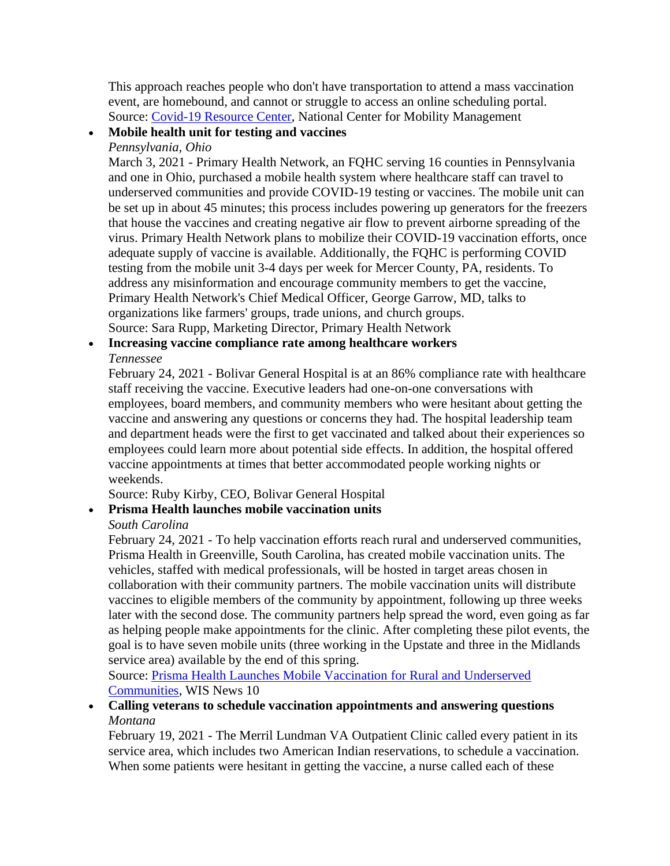This approach reaches people who don't have transportation to attend a mass vaccination event, are homebound, and cannot or struggle to access an online scheduling portal. Source: [Covid-19 Resource Center,](https://nationalcenterformobilitymanagement.org/covid-19-resource-center/) National Center for Mobility Management

# • **Mobile health unit for testing and vaccines**

### *Pennsylvania, Ohio*

March 3, 2021 - Primary Health Network, an FQHC serving 16 counties in Pennsylvania and one in Ohio, purchased a mobile health system where healthcare staff can travel to underserved communities and provide COVID-19 testing or vaccines. The mobile unit can be set up in about 45 minutes; this process includes powering up generators for the freezers that house the vaccines and creating negative air flow to prevent airborne spreading of the virus. Primary Health Network plans to mobilize their COVID-19 vaccination efforts, once adequate supply of vaccine is available. Additionally, the FQHC is performing COVID testing from the mobile unit 3-4 days per week for Mercer County, PA, residents. To address any misinformation and encourage community members to get the vaccine, Primary Health Network's Chief Medical Officer, George Garrow, MD, talks to organizations like farmers' groups, trade unions, and church groups. Source: Sara Rupp, Marketing Director, Primary Health Network

#### • **Increasing vaccine compliance rate among healthcare workers**  *Tennessee*

February 24, 2021 - Bolivar General Hospital is at an 86% compliance rate with healthcare staff receiving the vaccine. Executive leaders had one-on-one conversations with employees, board members, and community members who were hesitant about getting the vaccine and answering any questions or concerns they had. The hospital leadership team and department heads were the first to get vaccinated and talked about their experiences so employees could learn more about potential side effects. In addition, the hospital offered vaccine appointments at times that better accommodated people working nights or weekends.

Source: Ruby Kirby, CEO, Bolivar General Hospital

### • **Prisma Health launches mobile vaccination units**

#### *South Carolina*

February 24, 2021 - To help vaccination efforts reach rural and underserved communities, Prisma Health in Greenville, South Carolina, has created mobile vaccination units. The vehicles, staffed with medical professionals, will be hosted in target areas chosen in collaboration with their community partners. The mobile vaccination units will distribute vaccines to eligible members of the community by appointment, following up three weeks later with the second dose. The community partners help spread the word, even going as far as helping people make appointments for the clinic. After completing these pilot events, the goal is to have seven mobile units (three working in the Upstate and three in the Midlands service area) available by the end of this spring.

Source: [Prisma Health Launches Mobile Vaccination for Rural and Underserved](https://www.wistv.com/2021/02/24/prisma-health-launches-mobile-vaccination-rural-underserved-communities/)  [Communities,](https://www.wistv.com/2021/02/24/prisma-health-launches-mobile-vaccination-rural-underserved-communities/) WIS News 10

• **Calling veterans to schedule vaccination appointments and answering questions**  *Montana* 

February 19, 2021 - The Merril Lundman VA Outpatient Clinic called every patient in its service area, which includes two American Indian reservations, to schedule a vaccination. When some patients were hesitant in getting the vaccine, a nurse called each of these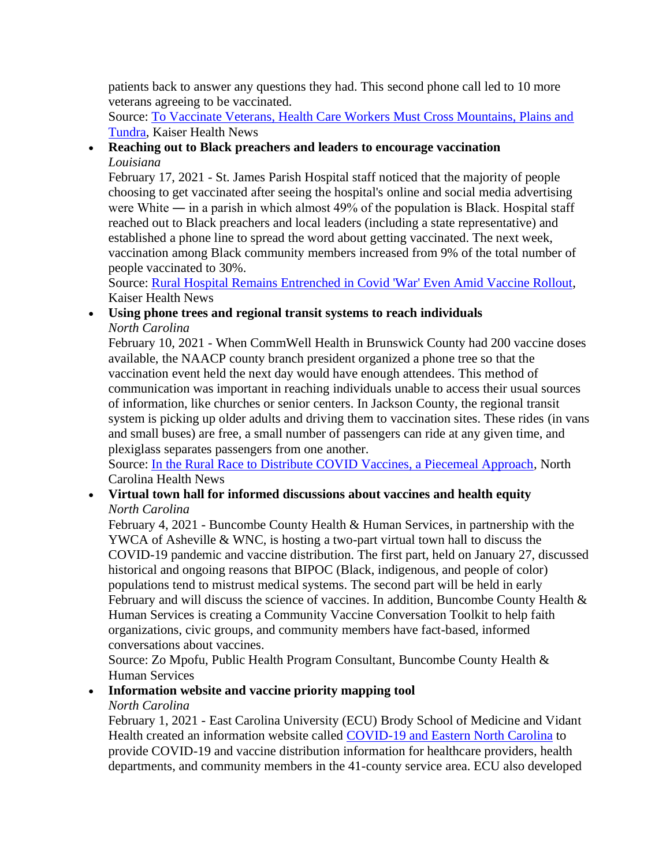patients back to answer any questions they had. This second phone call led to 10 more veterans agreeing to be vaccinated.

Source: [To Vaccinate Veterans, Health Care Workers Must Cross Mountains, Plains and](https://khn.org/news/article/to-vaccinate-veterans-health-care-workers-must-cross-mountains-plains-and-tundra/)  [Tundra,](https://khn.org/news/article/to-vaccinate-veterans-health-care-workers-must-cross-mountains-plains-and-tundra/) Kaiser Health News

# • **Reaching out to Black preachers and leaders to encourage vaccination**  *Louisiana*

February 17, 2021 - St. James Parish Hospital staff noticed that the majority of people choosing to get vaccinated after seeing the hospital's online and social media advertising were White — in a parish in which almost 49% of the population is Black. Hospital staff reached out to Black preachers and local leaders (including a state representative) and established a phone line to spread the word about getting vaccinated. The next week, vaccination among Black community members increased from 9% of the total number of people vaccinated to 30%.

Source: [Rural Hospital Remains Entrenched in Covid 'War' Even Amid Vaccine Rollout,](https://khn.org/news/article/rural-hospital-remains-entrenched-in-covid-war-even-amid-vaccine-rollout/) Kaiser Health News

#### • **Using phone trees and regional transit systems to reach individuals**  *North Carolina*

 of information, like churches or senior centers. In Jackson County, the regional transit February 10, 2021 - When CommWell Health in Brunswick County had 200 vaccine doses available, the NAACP county branch president organized a phone tree so that the vaccination event held the next day would have enough attendees. This method of communication was important in reaching individuals unable to access their usual sources system is picking up older adults and driving them to vaccination sites. These rides (in vans and small buses) are free, a small number of passengers can ride at any given time, and plexiglass separates passengers from one another.

Source: [In the Rural Race to Distribute COVID Vaccines, a Piecemeal Approach,](https://www.northcarolinahealthnews.org/2021/02/10/in-the-rural-race-to-distribute-covid-vaccines-a-piecemeal-approach/) North Carolina Health News

#### • **Virtual town hall for informed discussions about vaccines and health equity**  *North Carolina*

 YWCA of Asheville & WNC, is hosting a two-part virtual town hall to discuss the February 4, 2021 - Buncombe County Health & Human Services, in partnership with the COVID-19 pandemic and vaccine distribution. The first part, held on January 27, discussed historical and ongoing reasons that BIPOC (Black, indigenous, and people of color) populations tend to mistrust medical systems. The second part will be held in early February and will discuss the science of vaccines. In addition, Buncombe County Health & Human Services is creating a Community Vaccine Conversation Toolkit to help faith organizations, civic groups, and community members have fact-based, informed conversations about vaccines.

Source: Zo Mpofu, Public Health Program Consultant, Buncombe County Health & Human Services

# • **Information website and vaccine priority mapping tool**

# *North Carolina*

February 1, 2021 - East Carolina University (ECU) Brody School of Medicine and Vidant Health created an information website called [COVID-19 and Eastern North Carolina](https://enchealth.org/) to provide COVID-19 and vaccine distribution information for healthcare providers, health departments, and community members in the 41-county service area. ECU also developed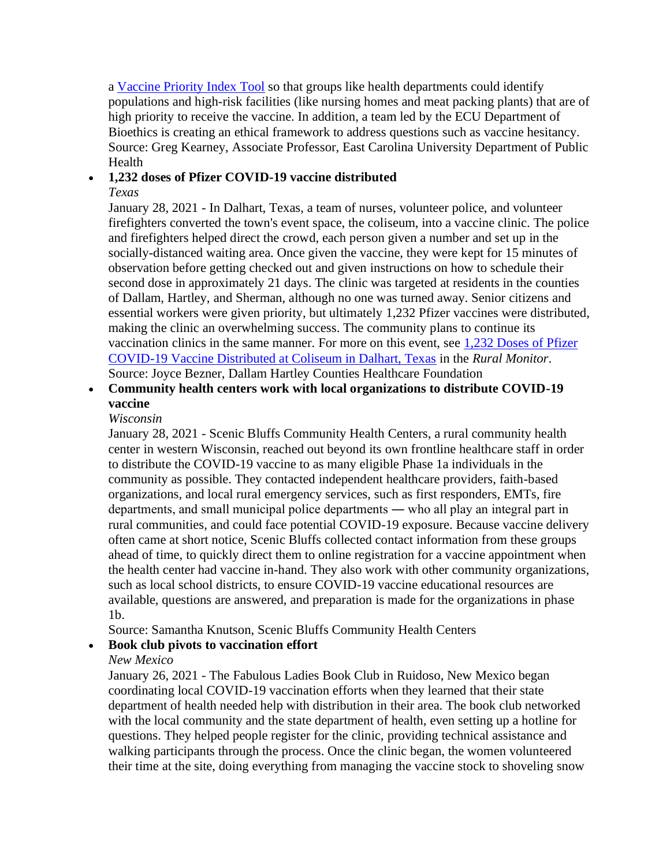a [Vaccine Priority Index Tool](https://experience.arcgis.com/experience/516393e9e9114ffe96dd2a0f02d1cb7e) so that groups like health departments could identify populations and high-risk facilities (like nursing homes and meat packing plants) that are of high priority to receive the vaccine. In addition, a team led by the ECU Department of Bioethics is creating an ethical framework to address questions such as vaccine hesitancy. Source: Greg Kearney, Associate Professor, East Carolina University Department of Public Health

#### • **1,232 doses of Pfizer COVID-19 vaccine distributed**

#### *Texas*

 second dose in approximately 21 days. The clinic was targeted at residents in the counties making the clinic an overwhelming success. The community plans to continue its January 28, 2021 - In Dalhart, Texas, a team of nurses, volunteer police, and volunteer firefighters converted the town's event space, the coliseum, into a vaccine clinic. The police and firefighters helped direct the crowd, each person given a number and set up in the socially-distanced waiting area. Once given the vaccine, they were kept for 15 minutes of observation before getting checked out and given instructions on how to schedule their of Dallam, Hartley, and Sherman, although no one was turned away. Senior citizens and essential workers were given priority, but ultimately 1,232 Pfizer vaccines were distributed, vaccination clinics in the same manner. For more on this event, see [1,232 Doses of Pfizer](https://www.ruralhealthinfo.org/rural-monitor/texas-community-vaccination-clinic/)  [COVID-19 Vaccine Distributed at Coliseum in Dalhart, Texas](https://www.ruralhealthinfo.org/rural-monitor/texas-community-vaccination-clinic/) in the *Rural Monitor*. Source: Joyce Bezner, Dallam Hartley Counties Healthcare Foundation

# • **Community health centers work with local organizations to distribute COVID-19 vaccine**

#### *Wisconsin*

January 28, 2021 - Scenic Bluffs Community Health Centers, a rural community health center in western Wisconsin, reached out beyond its own frontline healthcare staff in order to distribute the COVID-19 vaccine to as many eligible Phase 1a individuals in the community as possible. They contacted independent healthcare providers, faith-based organizations, and local rural emergency services, such as first responders, EMTs, fire departments, and small municipal police departments ― who all play an integral part in rural communities, and could face potential COVID-19 exposure. Because vaccine delivery often came at short notice, Scenic Bluffs collected contact information from these groups ahead of time, to quickly direct them to online registration for a vaccine appointment when the health center had vaccine in-hand. They also work with other community organizations, such as local school districts, to ensure COVID-19 vaccine educational resources are available, questions are answered, and preparation is made for the organizations in phase 1b.

Source: Samantha Knutson, Scenic Bluffs Community Health Centers

#### • **Book club pivots to vaccination effort**

*New Mexico* 

January 26, 2021 - The Fabulous Ladies Book Club in Ruidoso, New Mexico began coordinating local COVID-19 vaccination efforts when they learned that their state department of health needed help with distribution in their area. The book club networked with the local community and the state department of health, even setting up a hotline for questions. They helped people register for the clinic, providing technical assistance and walking participants through the process. Once the clinic began, the women volunteered their time at the site, doing everything from managing the vaccine stock to shoveling snow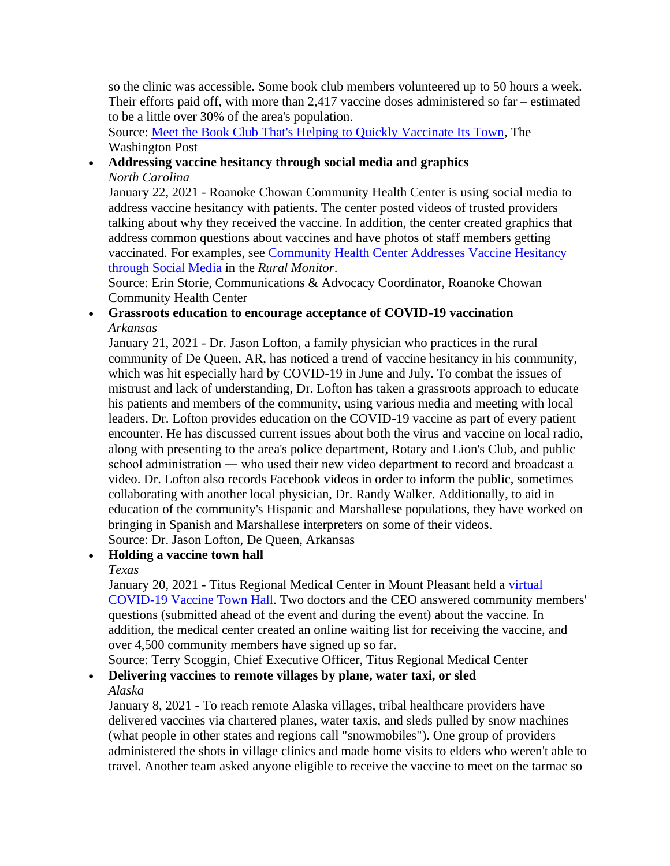so the clinic was accessible. Some book club members volunteered up to 50 hours a week. Their efforts paid off, with more than 2,417 vaccine doses administered so far – estimated to be a little over 30% of the area's population.

Source: [Meet the Book Club That's Helping to Quickly Vaccinate Its Town,](https://www.washingtonpost.com/entertainment/books/book-club-vaccine-effort/2021/01/25/16884640-5a7f-11eb-8bcf-3877871c819d_story.html) The Washington Post

#### • **Addressing vaccine hesitancy through social media and graphics**  *North Carolina*

January 22, 2021 - Roanoke Chowan Community Health Center is using social media to address vaccine hesitancy with patients. The center posted videos of trusted providers talking about why they received the vaccine. In addition, the center created graphics that address common questions about vaccines and have photos of staff members getting vaccinated. For examples, see [Community Health Center Addresses Vaccine Hesitancy](https://www.ruralhealthinfo.org/rural-monitor/chc-addresses-vaccine-hesitancy/)  [through Social Media](https://www.ruralhealthinfo.org/rural-monitor/chc-addresses-vaccine-hesitancy/) in the *Rural Monitor*.

Source: Erin Storie, Communications & Advocacy Coordinator, Roanoke Chowan Community Health Center

#### • **Grassroots education to encourage acceptance of COVID-19 vaccination**  *Arkansas*

January 21, 2021 - Dr. Jason Lofton, a family physician who practices in the rural community of De Queen, AR, has noticed a trend of vaccine hesitancy in his community, which was hit especially hard by COVID-19 in June and July. To combat the issues of mistrust and lack of understanding, Dr. Lofton has taken a grassroots approach to educate his patients and members of the community, using various media and meeting with local leaders. Dr. Lofton provides education on the COVID-19 vaccine as part of every patient encounter. He has discussed current issues about both the virus and vaccine on local radio, along with presenting to the area's police department, Rotary and Lion's Club, and public school administration ― who used their new video department to record and broadcast a video. Dr. Lofton also records Facebook videos in order to inform the public, sometimes collaborating with another local physician, Dr. Randy Walker. Additionally, to aid in education of the community's Hispanic and Marshallese populations, they have worked on bringing in Spanish and Marshallese interpreters on some of their videos. Source: Dr. Jason Lofton, De Queen, Arkansas

#### • **Holding a vaccine town hall**

#### *Texas*

January 20, 2021 - Titus Regional Medical Center in Mount Pleasant held a [virtual](https://www.youtube.com/watch?v=o_cA_JZ0nlg&feature=youtu.be)  [COVID-19 Vaccine Town Hall.](https://www.youtube.com/watch?v=o_cA_JZ0nlg&feature=youtu.be) Two doctors and the CEO answered community members' questions (submitted ahead of the event and during the event) about the vaccine. In addition, the medical center created an online waiting list for receiving the vaccine, and over 4,500 community members have signed up so far.

Source: Terry Scoggin, Chief Executive Officer, Titus Regional Medical Center

#### • **Delivering vaccines to remote villages by plane, water taxi, or sled**  *Alaska*

January 8, 2021 - To reach remote Alaska villages, tribal healthcare providers have delivered vaccines via chartered planes, water taxis, and sleds pulled by snow machines (what people in other states and regions call "snowmobiles"). One group of providers administered the shots in village clinics and made home visits to elders who weren't able to travel. Another team asked anyone eligible to receive the vaccine to meet on the tarmac so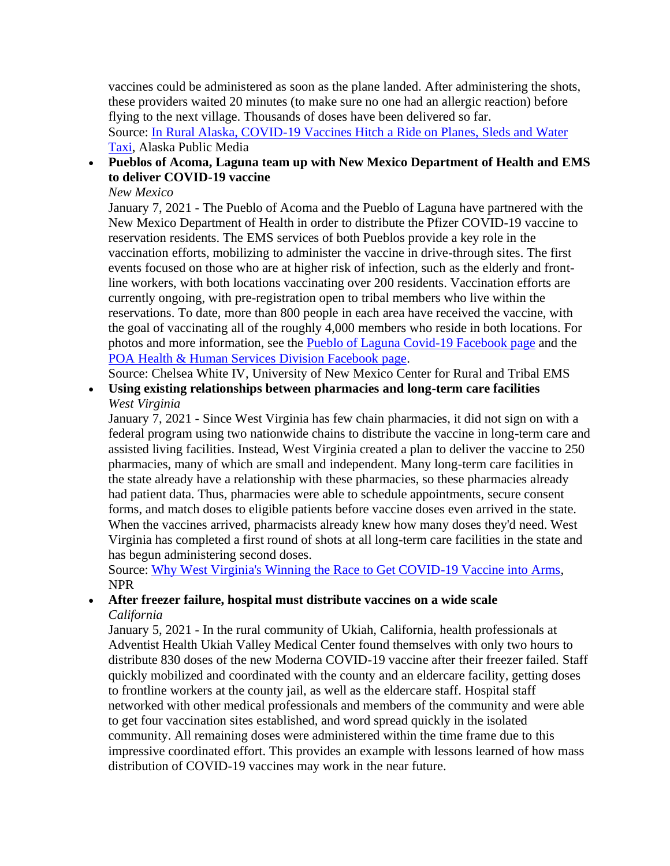vaccines could be administered as soon as the plane landed. After administering the shots, these providers waited 20 minutes (to make sure no one had an allergic reaction) before flying to the next village. Thousands of doses have been delivered so far. Source: [In Rural Alaska, COVID-19 Vaccines Hitch a Ride on Planes, Sleds and Water](https://www.alaskapublic.org/2021/01/08/in-rural-alaska-covid-19-vaccines-hitch-a-ride-on-planes-sleds-and-water-taxi/)  [Taxi,](https://www.alaskapublic.org/2021/01/08/in-rural-alaska-covid-19-vaccines-hitch-a-ride-on-planes-sleds-and-water-taxi/) Alaska Public Media

#### • **Pueblos of Acoma, Laguna team up with New Mexico Department of Health and EMS to deliver COVID-19 vaccine**

#### *New Mexico*

January 7, 2021 - The Pueblo of Acoma and the Pueblo of Laguna have partnered with the New Mexico Department of Health in order to distribute the Pfizer COVID-19 vaccine to reservation residents. The EMS services of both Pueblos provide a key role in the vaccination efforts, mobilizing to administer the vaccine in drive-through sites. The first events focused on those who are at higher risk of infection, such as the elderly and frontline workers, with both locations vaccinating over 200 residents. Vaccination efforts are currently ongoing, with pre-registration open to tribal members who live within the reservations. To date, more than 800 people in each area have received the vaccine, with the goal of vaccinating all of the roughly 4,000 members who reside in both locations. For photos and more information, see the [Pueblo of Laguna Covid-19 Facebook page](https://www.facebook.com/pol.covid19/) and the [POA Health & Human Services Division Facebook page.](https://www.facebook.com/AcomaPuebloBHS/)

Source: Chelsea White IV, University of New Mexico Center for Rural and Tribal EMS

• **Using existing relationships between pharmacies and long-term care facilities**  *West Virginia* 

January 7, 2021 - Since West Virginia has few chain pharmacies, it did not sign on with a federal program using two nationwide chains to distribute the vaccine in long-term care and assisted living facilities. Instead, West Virginia created a plan to deliver the vaccine to 250 pharmacies, many of which are small and independent. Many long-term care facilities in the state already have a relationship with these pharmacies, so these pharmacies already had patient data. Thus, pharmacies were able to schedule appointments, secure consent forms, and match doses to eligible patients before vaccine doses even arrived in the state. When the vaccines arrived, pharmacists already knew how many doses they'd need. West Virginia has completed a first round of shots at all long-term care facilities in the state and has begun administering second doses.

Source: [Why West Virginia's Winning the Race to Get COVID-19 Vaccine into Arms,](https://www.npr.org/sections/health-shots/2021/01/07/954409347/why-west-virginias-winning-the-race-to-get-covid-19-vaccine-into-arms) NPR

#### • **After freezer failure, hospital must distribute vaccines on a wide scale**  *California*

January 5, 2021 - In the rural community of Ukiah, California, health professionals at Adventist Health Ukiah Valley Medical Center found themselves with only two hours to distribute 830 doses of the new Moderna COVID-19 vaccine after their freezer failed. Staff quickly mobilized and coordinated with the county and an eldercare facility, getting doses to frontline workers at the county jail, as well as the eldercare staff. Hospital staff networked with other medical professionals and members of the community and were able to get four vaccination sites established, and word spread quickly in the isolated community. All remaining doses were administered within the time frame due to this impressive coordinated effort. This provides an example with lessons learned of how mass distribution of COVID-19 vaccines may work in the near future.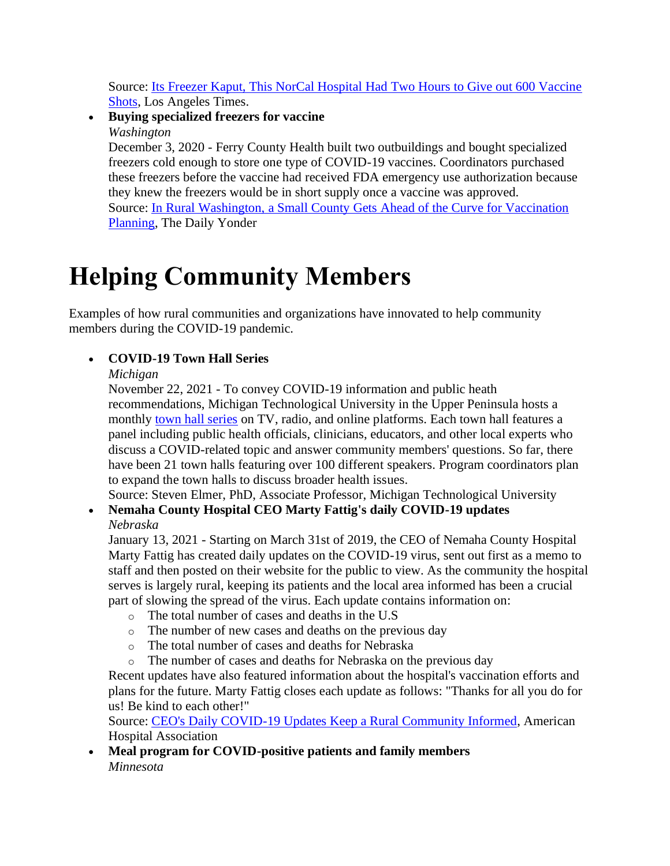Source: [Its Freezer Kaput, This NorCal Hospital Had Two Hours to Give out 600 Vaccine](https://www.latimes.com/california/story/2021-01-04/freezer-broken-california-town-had-to-use-or-lose-vaccine-shots)  [Shots,](https://www.latimes.com/california/story/2021-01-04/freezer-broken-california-town-had-to-use-or-lose-vaccine-shots) Los Angeles Times.

#### • **Buying specialized freezers for vaccine**  *Washington*

December 3, 2020 - Ferry County Health built two outbuildings and bought specialized freezers cold enough to store one type of COVID-19 vaccines. Coordinators purchased these freezers before the vaccine had received FDA emergency use authorization because they knew the freezers would be in short supply once a vaccine was approved. Source: [In Rural Washington, a Small County Gets Ahead of the Curve for Vaccination](https://dailyyonder.com/in-rural-washington-a-small-county-gets-ahead-of-the-curve-for-vaccination-planning/2020/12/03/)  [Planning,](https://dailyyonder.com/in-rural-washington-a-small-county-gets-ahead-of-the-curve-for-vaccination-planning/2020/12/03/) The Daily Yonder

# **Helping Community Members**

Examples of how rural communities and organizations have innovated to help community members during the COVID-19 pandemic.

# • **COVID-19 Town Hall Series**

# *Michigan*

November 22, 2021 - To convey COVID-19 information and public heath recommendations, Michigan Technological University in the Upper Peninsula hosts a monthly [town hall series](https://www.mtu.edu/health-research/covid19townhall/) on TV, radio, and online platforms. Each town hall features a panel including public health officials, clinicians, educators, and other local experts who discuss a COVID-related topic and answer community members' questions. So far, there have been 21 town halls featuring over 100 different speakers. Program coordinators plan to expand the town halls to discuss broader health issues.

Source: Steven Elmer, PhD, Associate Professor, Michigan Technological University

# • **Nemaha County Hospital CEO Marty Fattig's daily COVID-19 updates**  *Nebraska*

January 13, 2021 - Starting on March 31st of 2019, the CEO of Nemaha County Hospital Marty Fattig has created daily updates on the COVID-19 virus, sent out first as a memo to staff and then posted on their website for the public to view. As the community the hospital serves is largely rural, keeping its patients and the local area informed has been a crucial part of slowing the spread of the virus. Each update contains information on:

- o The total number of cases and deaths in the U.S
- o The number of new cases and deaths on the previous day
- o The total number of cases and deaths for Nebraska
- o The number of cases and deaths for Nebraska on the previous day

Recent updates have also featured information about the hospital's vaccination efforts and plans for the future. Marty Fattig closes each update as follows: "Thanks for all you do for us! Be kind to each other!"

Source: [CEO's Daily COVID-19 Updates Keep a Rural Community Informed,](https://www.aha.org/other-resources/2021-01-13-ceos-daily-covid-19-updates-keep-rural-community-informed) American Hospital Association

• **Meal program for COVID-positive patients and family members**  *Minnesota*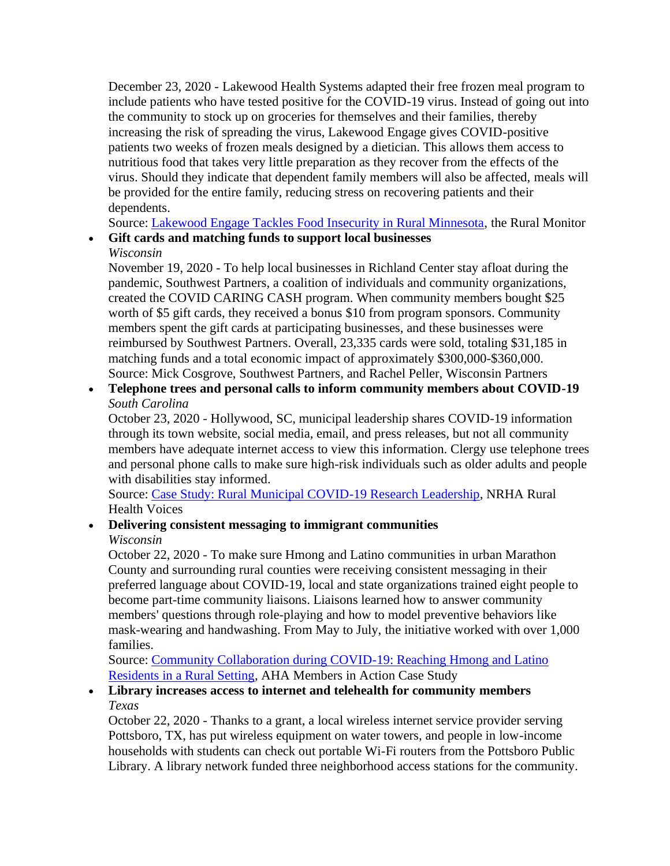December 23, 2020 - Lakewood Health Systems adapted their free frozen meal program to include patients who have tested positive for the COVID-19 virus. Instead of going out into the community to stock up on groceries for themselves and their families, thereby increasing the risk of spreading the virus, Lakewood Engage gives COVID-positive patients two weeks of frozen meals designed by a dietician. This allows them access to nutritious food that takes very little preparation as they recover from the effects of the virus. Should they indicate that dependent family members will also be affected, meals will be provided for the entire family, reducing stress on recovering patients and their dependents.

Source: [Lakewood Engage Tackles Food Insecurity in Rural Minnesota,](https://www.ruralhealthinfo.org/rural-monitor/lakewood-engage/) the Rural Monitor

• **Gift cards and matching funds to support local businesses** 

# *Wisconsin*

November 19, 2020 - To help local businesses in Richland Center stay afloat during the pandemic, Southwest Partners, a coalition of individuals and community organizations, created the COVID CARING CASH program. When community members bought \$25 worth of \$5 gift cards, they received a bonus \$10 from program sponsors. Community members spent the gift cards at participating businesses, and these businesses were reimbursed by Southwest Partners. Overall, 23,335 cards were sold, totaling \$31,185 in matching funds and a total economic impact of approximately \$300,000-\$360,000. Source: Mick Cosgrove, Southwest Partners, and Rachel Peller, Wisconsin Partners

• **Telephone trees and personal calls to inform community members about COVID-19**  *South Carolina* 

 through its town website, social media, email, and press releases, but not all community members have adequate internet access to view this information. Clergy use telephone trees October 23, 2020 - Hollywood, SC, municipal leadership shares COVID-19 information and personal phone calls to make sure high-risk individuals such as older adults and people with disabilities stay informed.

Source: [Case Study: Rural Municipal COVID-19 Research Leadership,](https://www.ruralhealth.us/blogs/ruralhealthvoices/october-2020/a-case-study-for-rural-municipal-covid-19-research) NRHA Rural Health Voices

#### • **Delivering consistent messaging to immigrant communities**  *Wisconsin*

October 22, 2020 - To make sure Hmong and Latino communities in urban Marathon County and surrounding rural counties were receiving consistent messaging in their preferred language about COVID-19, local and state organizations trained eight people to become part-time community liaisons. Liaisons learned how to answer community members' questions through role-playing and how to model preventive behaviors like mask-wearing and handwashing. From May to July, the initiative worked with over 1,000 families.

Source: [Community Collaboration during COVID-19: Reaching Hmong and Latino](https://www.aha.org/system/files/media/file/2020/10/aha-cs-ascension-1020_final.pdf)  [Residents in a Rural Setting,](https://www.aha.org/system/files/media/file/2020/10/aha-cs-ascension-1020_final.pdf) AHA Members in Action Case Study

# • **Library increases access to internet and telehealth for community members**  *Texas*

October 22, 2020 - Thanks to a grant, a local wireless internet service provider serving Pottsboro, TX, has put wireless equipment on water towers, and people in low-income households with students can check out portable Wi-Fi routers from the Pottsboro Public Library. A library network funded three neighborhood access stations for the community.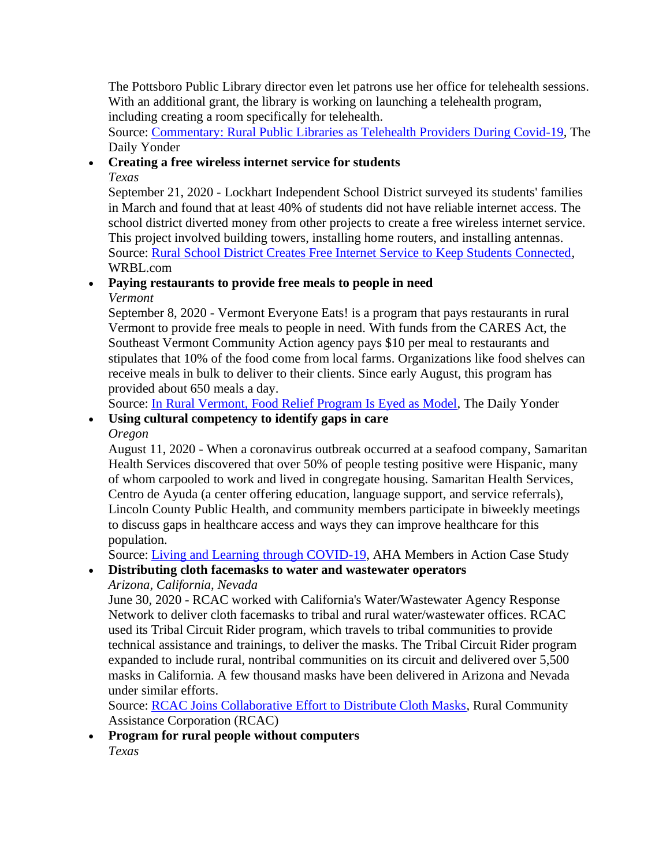The Pottsboro Public Library director even let patrons use her office for telehealth sessions. With an additional grant, the library is working on launching a telehealth program, including creating a room specifically for telehealth.

Source: [Commentary: Rural Public Libraries as Telehealth Providers During Covid-19,](https://dailyyonder.com/commentary-rural-public-libraries-as-telehealth-providers-during-covid-19/2020/10/22/) The Daily Yonder

# • **Creating a free wireless internet service for students**

*Texas* 

 in March and found that at least 40% of students did not have reliable internet access. The September 21, 2020 - Lockhart Independent School District surveyed its students' families school district diverted money from other projects to create a free wireless internet service. This project involved building towers, installing home routers, and installing antennas. Source: [Rural School District Creates Free Internet Service to Keep Students Connected,](https://www.wrbl.com/pass-or-fail/rural-school-district-creates-free-internet-service-to-keep-students-connected/) [WRBL.com](https://WRBL.com)

# • **Paying restaurants to provide free meals to people in need**

*Vermont* 

September 8, 2020 - Vermont Everyone Eats! is a program that pays restaurants in rural Vermont to provide free meals to people in need. With funds from the CARES Act, the Southeast Vermont Community Action agency pays \$10 per meal to restaurants and stipulates that 10% of the food come from local farms. Organizations like food shelves can receive meals in bulk to deliver to their clients. Since early August, this program has provided about 650 meals a day.

Source: [In Rural Vermont, Food Relief Program Is Eyed as Model,](https://dailyyonder.com/in-rural-vermont-food-relief-program-is-eyed-as-model/2020/09/08/) The Daily Yonder

#### • **Using cultural competency to identify gaps in care**  *Oregon*

August 11, 2020 - When a coronavirus outbreak occurred at a seafood company, Samaritan Health Services discovered that over 50% of people testing positive were Hispanic, many of whom carpooled to work and lived in congregate housing. Samaritan Health Services, Centro de Ayuda (a center offering education, language support, and service referrals), Lincoln County Public Health, and community members participate in biweekly meetings to discuss gaps in healthcare access and ways they can improve healthcare for this population.

Source: [Living and Learning through COVID-19,](https://www.aha.org/system/files/media/file/2020/08/aha-cs-lincoln-0820.pdf) AHA Members in Action Case Study

# • **Distributing cloth facemasks to water and wastewater operators**

*Arizona, California, Nevada* 

June 30, 2020 - RCAC worked with California's Water/Wastewater Agency Response Network to deliver cloth facemasks to tribal and rural water/wastewater offices. RCAC used its Tribal Circuit Rider program, which travels to tribal communities to provide technical assistance and trainings, to deliver the masks. The Tribal Circuit Rider program expanded to include rural, nontribal communities on its circuit and delivered over 5,500 masks in California. A few thousand masks have been delivered in Arizona and Nevada under similar efforts.

Source: [RCAC Joins Collaborative Effort to Distribute Cloth Masks,](https://www.rcac.org/success-stories/rcac-joins-collaborative-effort-to-distribute-cloth-masks/) Rural Community Assistance Corporation (RCAC)

• **Program for rural people without computers**  *Texas*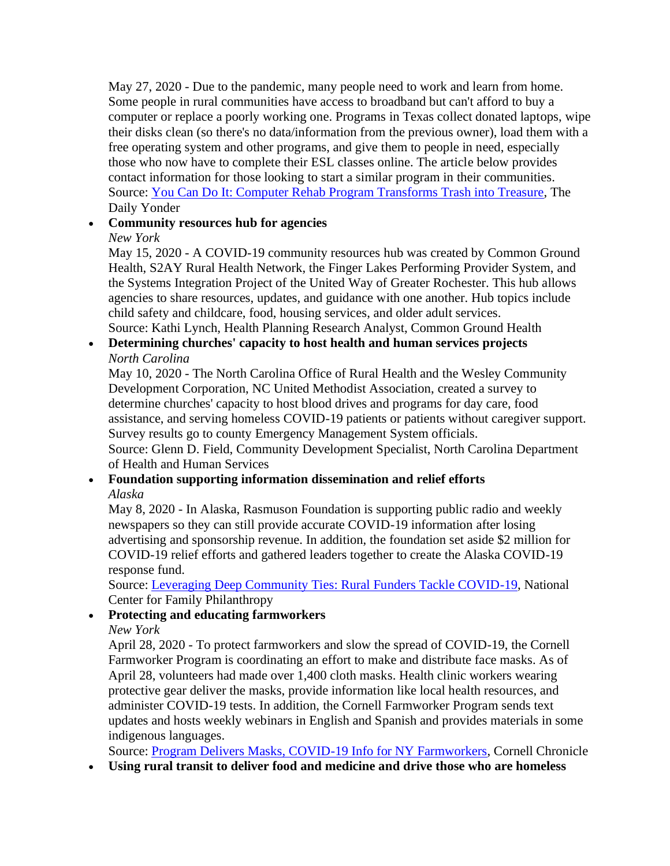Some people in rural communities have access to broadband but can't afford to buy a May 27, 2020 - Due to the pandemic, many people need to work and learn from home. computer or replace a poorly working one. Programs in Texas collect donated laptops, wipe their disks clean (so there's no data/information from the previous owner), load them with a free operating system and other programs, and give them to people in need, especially those who now have to complete their ESL classes online. The article below provides contact information for those looking to start a similar program in their communities. Source: [You Can Do It: Computer Rehab Program Transforms Trash into Treasure,](https://dailyyonder.com/you-can-do-it-computer-rehab-program-transforms-trash-into-treasure/2020/05/27/) The Daily Yonder

### • **Community resources hub for agencies**

#### *New York*

May 15, 2020 - A COVID-19 community resources hub was created by Common Ground Health, S2AY Rural Health Network, the Finger Lakes Performing Provider System, and the Systems Integration Project of the United Way of Greater Rochester. This hub allows agencies to share resources, updates, and guidance with one another. Hub topics include child safety and childcare, food, housing services, and older adult services. Source: Kathi Lynch, Health Planning Research Analyst, Common Ground Health

# • **Determining churches' capacity to host health and human services projects**  *North Carolina*

May 10, 2020 - The North Carolina Office of Rural Health and the Wesley Community Development Corporation, NC United Methodist Association, created a survey to determine churches' capacity to host blood drives and programs for day care, food assistance, and serving homeless COVID-19 patients or patients without caregiver support. Survey results go to county Emergency Management System officials.

Source: Glenn D. Field, Community Development Specialist, North Carolina Department of Health and Human Services

#### • **Foundation supporting information dissemination and relief efforts**  *Alaska*

May 8, 2020 - In Alaska, Rasmuson Foundation is supporting public radio and weekly newspapers so they can still provide accurate COVID-19 information after losing advertising and sponsorship revenue. In addition, the foundation set aside \$2 million for COVID-19 relief efforts and gathered leaders together to create the Alaska COVID-19 response fund.

Source: [Leveraging Deep Community Ties: Rural Funders Tackle COVID-19,](https://www.ncfp.org/2020/05/08/leveraging-deep-community-ties-rural-funders-tackle-covid-19/) National Center for Family Philanthropy

# • **Protecting and educating farmworkers**

*New York* 

April 28, 2020 - To protect farmworkers and slow the spread of COVID-19, the Cornell Farmworker Program is coordinating an effort to make and distribute face masks. As of April 28, volunteers had made over 1,400 cloth masks. Health clinic workers wearing protective gear deliver the masks, provide information like local health resources, and administer COVID-19 tests. In addition, the Cornell Farmworker Program sends text updates and hosts weekly webinars in English and Spanish and provides materials in some indigenous languages.

Source: [Program Delivers Masks, COVID-19 Info for NY Farmworkers,](https://news.cornell.edu/stories/2020/04/program-delivers-masks-covid-19-info-ny-farmworkers) Cornell Chronicle

• **Using rural transit to deliver food and medicine and drive those who are homeless**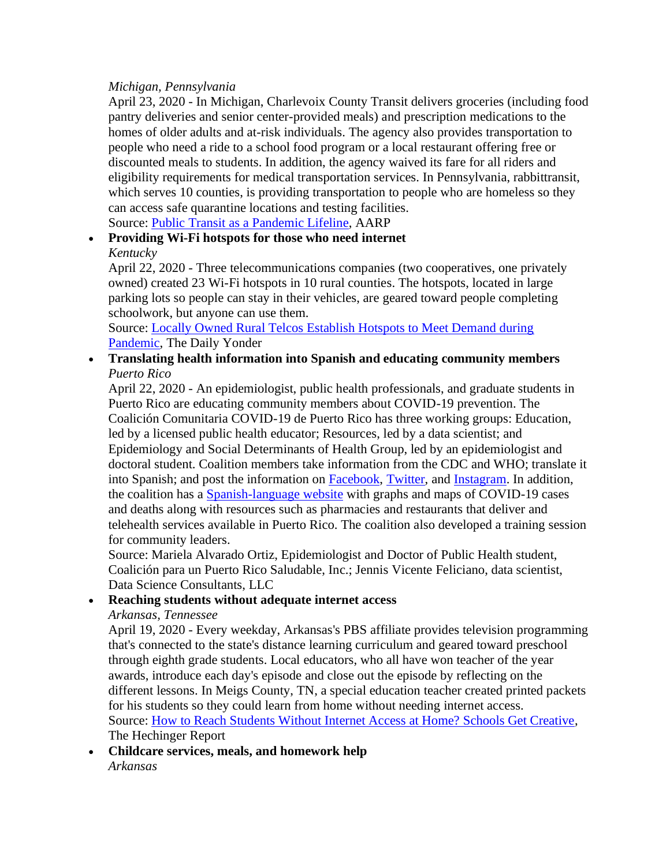#### *Michigan, Pennsylvania*

April 23, 2020 - In Michigan, Charlevoix County Transit delivers groceries (including food pantry deliveries and senior center-provided meals) and prescription medications to the homes of older adults and at-risk individuals. The agency also provides transportation to people who need a ride to a school food program or a local restaurant offering free or discounted meals to students. In addition, the agency waived its fare for all riders and eligibility requirements for medical transportation services. In Pennsylvania, rabbittransit, which serves 10 counties, is providing transportation to people who are homeless so they can access safe quarantine locations and testing facilities.

Source: [Public Transit as a Pandemic Lifeline,](https://blog.aarp.org/thinking-policy/public-transit-as-a-pandemic-lifeline) AARP

#### • **Providing Wi-Fi hotspots for those who need internet**  *Kentucky*

April 22, 2020 - Three telecommunications companies (two cooperatives, one privately owned) created 23 Wi-Fi hotspots in 10 rural counties. The hotspots, located in large parking lots so people can stay in their vehicles, are geared toward people completing schoolwork, but anyone can use them.

Source: [Locally Owned Rural Telcos Establish Hotspots to Meet Demand during](https://dailyyonder.com/locally-owned-rural-telcos-establish-hotspots-to-meet-demand-during-pandemic/2020/04/22/)  [Pandemic,](https://dailyyonder.com/locally-owned-rural-telcos-establish-hotspots-to-meet-demand-during-pandemic/2020/04/22/) The Daily Yonder

• **Translating health information into Spanish and educating community members**  *Puerto Rico* 

April 22, 2020 - An epidemiologist, public health professionals, and graduate students in Puerto Rico are educating community members about COVID-19 prevention. The Coalición Comunitaria COVID-19 de Puerto Rico has three working groups: Education, led by a licensed public health educator; Resources, led by a data scientist; and Epidemiology and Social Determinants of Health Group, led by an epidemiologist and doctoral student. Coalition members take information from the CDC and WHO; translate it into Spanish; and post the information on [Facebook,](https://www.facebook.com/3coPR/) [Twitter,](https://twitter.com/covid_pr) and [Instagram.](https://www.instagram.com/covid19.pr/?igshid=7veekla22jgi) In addition, the coalition has a [Spanish-language website](https://datascienceconsultants.github.io/COVID-19-PR/3CoPRrevamp/Web/index.html) with graphs and maps of COVID-19 cases and deaths along with resources such as pharmacies and restaurants that deliver and telehealth services available in Puerto Rico. The coalition also developed a training session for community leaders.

Source: Mariela Alvarado Ortiz, Epidemiologist and Doctor of Public Health student, Coalición para un Puerto Rico Saludable, Inc.; Jennis Vicente Feliciano, data scientist, Data Science Consultants, LLC

#### • **Reaching students without adequate internet access**

#### *Arkansas, Tennessee*

April 19, 2020 - Every weekday, Arkansas's PBS affiliate provides television programming that's connected to the state's distance learning curriculum and geared toward preschool through eighth grade students. Local educators, who all have won teacher of the year awards, introduce each day's episode and close out the episode by reflecting on the different lessons. In Meigs County, TN, a special education teacher created printed packets for his students so they could learn from home without needing internet access. Source: [How to Reach Students Without Internet Access at Home? Schools Get Creative,](https://hechingerreport.org/how-to-reach-students-without-internet-access-at-home-schools-get-creative/) The Hechinger Report

• **Childcare services, meals, and homework help**  *Arkansas*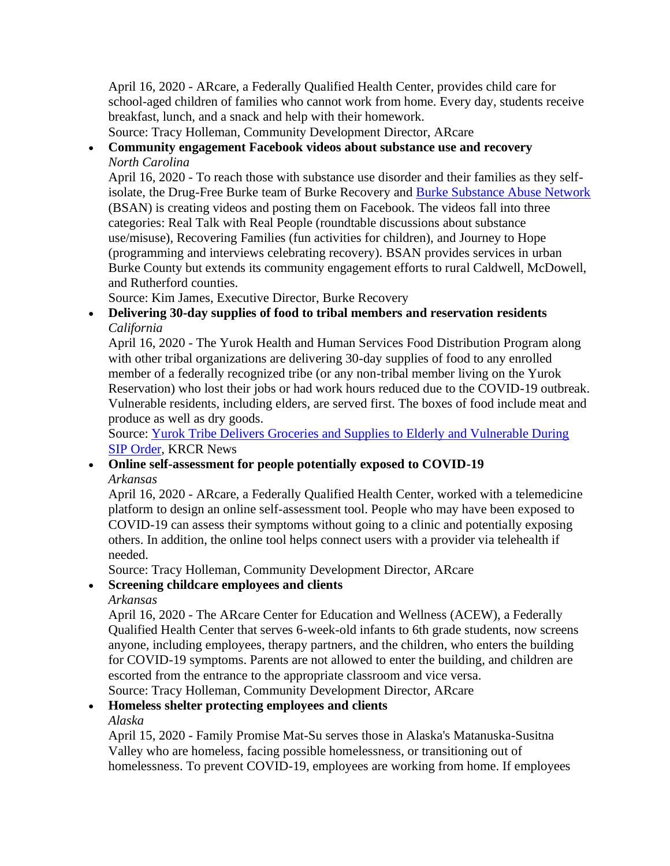April 16, 2020 - ARcare, a Federally Qualified Health Center, provides child care for school-aged children of families who cannot work from home. Every day, students receive breakfast, lunch, and a snack and help with their homework.

Source: Tracy Holleman, Community Development Director, ARcare

# • **Community engagement Facebook videos about substance use and recovery**  *North Carolina*

April 16, 2020 - To reach those with substance use disorder and their families as they selfisolate, the Drug-Free Burke team of Burke Recovery and [Burke Substance Abuse Network](https://www.facebook.com/BurkeSubstanceAbuseNetwork/)  (BSAN) is creating videos and posting them on Facebook. The videos fall into three categories: Real Talk with Real People (roundtable discussions about substance use/misuse), Recovering Families (fun activities for children), and Journey to Hope (programming and interviews celebrating recovery). BSAN provides services in urban Burke County but extends its community engagement efforts to rural Caldwell, McDowell, and Rutherford counties.

Source: Kim James, Executive Director, Burke Recovery

#### • **Delivering 30-day supplies of food to tribal members and reservation residents**  *California*

April 16, 2020 - The Yurok Health and Human Services Food Distribution Program along with other tribal organizations are delivering 30-day supplies of food to any enrolled member of a federally recognized tribe (or any non-tribal member living on the Yurok Reservation) who lost their jobs or had work hours reduced due to the COVID-19 outbreak. Vulnerable residents, including elders, are served first. The boxes of food include meat and produce as well as dry goods.

Source: [Yurok Tribe Delivers Groceries and Supplies to Elderly and Vulnerable During](https://krcrtv.com/north-coast-news/eureka-local-news/yurok-tribe-delivers-groceries-and-supplies-to-elderly-and-vulnerable-during-sip-order)  [SIP Order,](https://krcrtv.com/north-coast-news/eureka-local-news/yurok-tribe-delivers-groceries-and-supplies-to-elderly-and-vulnerable-during-sip-order) KRCR News

### • **Online self-assessment for people potentially exposed to COVID-19**  *Arkansas*

April 16, 2020 - ARcare, a Federally Qualified Health Center, worked with a telemedicine platform to design an online self-assessment tool. People who may have been exposed to COVID-19 can assess their symptoms without going to a clinic and potentially exposing others. In addition, the online tool helps connect users with a provider via telehealth if needed.

Source: Tracy Holleman, Community Development Director, ARcare

#### • **Screening childcare employees and clients**

#### *Arkansas*

 escorted from the entrance to the appropriate classroom and vice versa. April 16, 2020 - The ARcare Center for Education and Wellness (ACEW), a Federally Qualified Health Center that serves 6-week-old infants to 6th grade students, now screens anyone, including employees, therapy partners, and the children, who enters the building for COVID-19 symptoms. Parents are not allowed to enter the building, and children are Source: Tracy Holleman, Community Development Director, ARcare

# • **Homeless shelter protecting employees and clients**

#### *Alaska*

April 15, 2020 - Family Promise Mat-Su serves those in Alaska's Matanuska-Susitna Valley who are homeless, facing possible homelessness, or transitioning out of homelessness. To prevent COVID-19, employees are working from home. If employees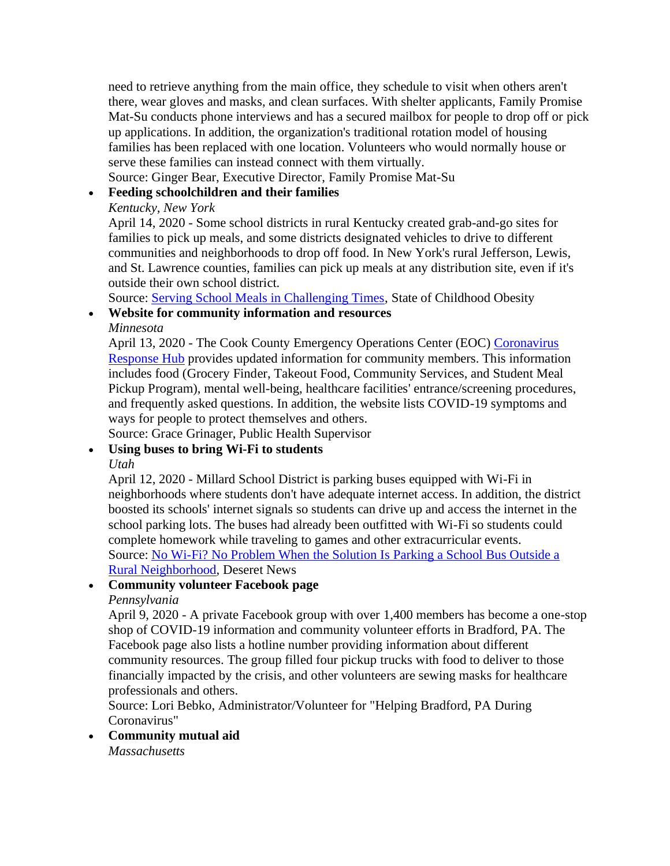need to retrieve anything from the main office, they schedule to visit when others aren't there, wear gloves and masks, and clean surfaces. With shelter applicants, Family Promise Mat-Su conducts phone interviews and has a secured mailbox for people to drop off or pick up applications. In addition, the organization's traditional rotation model of housing families has been replaced with one location. Volunteers who would normally house or serve these families can instead connect with them virtually.

Source: Ginger Bear, Executive Director, Family Promise Mat-Su

#### • **Feeding schoolchildren and their families**

#### *Kentucky, New York*

April 14, 2020 - Some school districts in rural Kentucky created grab-and-go sites for families to pick up meals, and some districts designated vehicles to drive to different communities and neighborhoods to drop off food. In New York's rural Jefferson, Lewis, and St. Lawrence counties, families can pick up meals at any distribution site, even if it's outside their own school district.

Source: [Serving School Meals in Challenging Times,](https://stateofchildhoodobesity.org/stories/serving-school-meals-in-challenging-times/) State of Childhood Obesity

### • **Website for community information and resources**

*Minnesota* 

April 13, 2020 - The Cook County Emergency Operations Center (EOC) [Coronavirus](https://coronavirus-response-cook-county-minnesota-1-cookcountymn.hub.arcgis.com/)  [Response Hub](https://coronavirus-response-cook-county-minnesota-1-cookcountymn.hub.arcgis.com/) provides updated information for community members. This information includes food (Grocery Finder, Takeout Food, Community Services, and Student Meal Pickup Program), mental well-being, healthcare facilities' entrance/screening procedures, and frequently asked questions. In addition, the website lists COVID-19 symptoms and ways for people to protect themselves and others.

Source: Grace Grinager, Public Health Supervisor

# • **Using buses to bring Wi-Fi to students**

*Utah* 

April 12, 2020 - Millard School District is parking buses equipped with Wi-Fi in neighborhoods where students don't have adequate internet access. In addition, the district boosted its schools' internet signals so students can drive up and access the internet in the school parking lots. The buses had already been outfitted with Wi-Fi so students could complete homework while traveling to games and other extracurricular events. Source: [No Wi-Fi? No Problem When the Solution Is Parking a School Bus Outside a](https://www.deseret.com/utah/2020/4/12/21212493/coronavirus-millard-school-district-wi-fi-school-closure-social-distancing-home-school)  [Rural Neighborhood,](https://www.deseret.com/utah/2020/4/12/21212493/coronavirus-millard-school-district-wi-fi-school-closure-social-distancing-home-school) Deseret News

# • **Community volunteer Facebook page**

# *Pennsylvania*

April 9, 2020 - A private Facebook group with over 1,400 members has become a one-stop shop of COVID-19 information and community volunteer efforts in Bradford, PA. The Facebook page also lists a hotline number providing information about different community resources. The group filled four pickup trucks with food to deliver to those financially impacted by the crisis, and other volunteers are sewing masks for healthcare professionals and others.

Source: Lori Bebko, Administrator/Volunteer for "Helping Bradford, PA During Coronavirus"

# • **Community mutual aid**

*Massachusetts*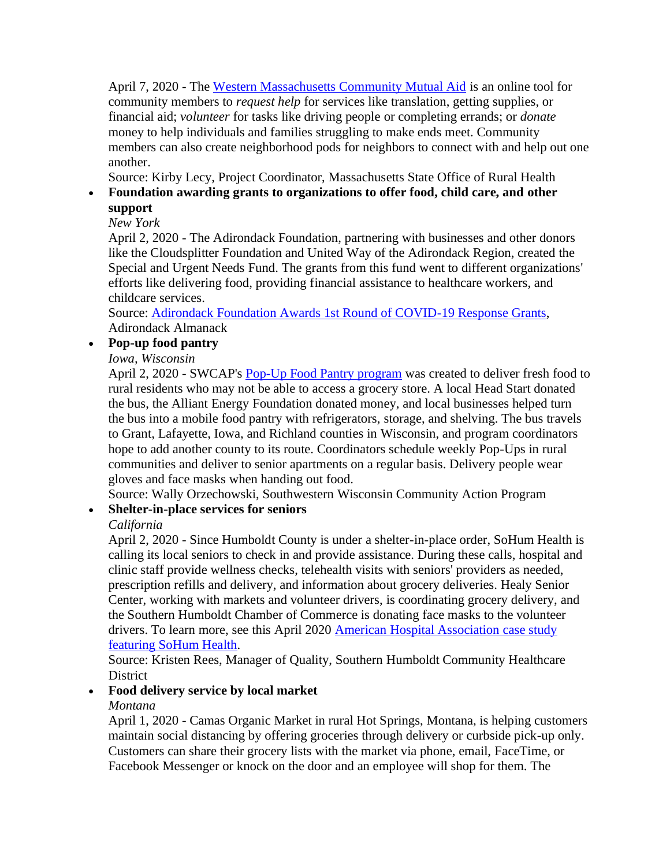April 7, 2020 - The [Western Massachusetts Community Mutual Aid](https://www.wmacma.com/) is an online tool for community members to *request help* for services like translation, getting supplies, or financial aid; *volunteer* for tasks like driving people or completing errands; or *donate*  money to help individuals and families struggling to make ends meet. Community members can also create neighborhood pods for neighbors to connect with and help out one another.

Source: Kirby Lecy, Project Coordinator, Massachusetts State Office of Rural Health

# • **Foundation awarding grants to organizations to offer food, child care, and other support**

# *New York*

April 2, 2020 - The Adirondack Foundation, partnering with businesses and other donors like the Cloudsplitter Foundation and United Way of the Adirondack Region, created the Special and Urgent Needs Fund. The grants from this fund went to different organizations' efforts like delivering food, providing financial assistance to healthcare workers, and childcare services.

Source: [Adirondack Foundation Awards 1st Round of COVID-19 Response Grants,](https://www.adirondackalmanack.com/2020/04/adirondack-foundation-awards-1st-round-of-covid-19-respond-grants.html) Adirondack Almanack

# • **Pop-up food pantry**

*Iowa, Wisconsin* 

April 2, 2020 - SWCAP's [Pop-Up Food Pantry program](https://www.nbc15.com/content/news/SWCAPs-Pop-Up-Food-Pantry-hits-the-road-568959011.html) was created to deliver fresh food to rural residents who may not be able to access a grocery store. A local Head Start donated the bus, the Alliant Energy Foundation donated money, and local businesses helped turn the bus into a mobile food pantry with refrigerators, storage, and shelving. The bus travels to Grant, Lafayette, Iowa, and Richland counties in Wisconsin, and program coordinators hope to add another county to its route. Coordinators schedule weekly Pop-Ups in rural communities and deliver to senior apartments on a regular basis. Delivery people wear gloves and face masks when handing out food.

Source: Wally Orzechowski, Southwestern Wisconsin Community Action Program

# • **Shelter-in-place services for seniors**

# *California*

April 2, 2020 - Since Humboldt County is under a shelter-in-place order, SoHum Health is calling its local seniors to check in and provide assistance. During these calls, hospital and clinic staff provide wellness checks, telehealth visits with seniors' providers as needed, prescription refills and delivery, and information about grocery deliveries. Healy Senior Center, working with markets and volunteer drivers, is coordinating grocery delivery, and the Southern Humboldt Chamber of Commerce is donating face masks to the volunteer drivers. To learn more, see this April 2020 American Hospital Association case study [featuring SoHum Health.](https://www.aha.org/system/files/media/file/2020/04/getting-in-front-of-covid-19-addressing-social-determinants-health-to-save-lives-seniors-sohum-health-case-study.pdf)

Source: Kristen Rees, Manager of Quality, Southern Humboldt Community Healthcare **District** 

# • **Food delivery service by local market**

# *Montana*

April 1, 2020 - Camas Organic Market in rural Hot Springs, Montana, is helping customers maintain social distancing by offering groceries through delivery or curbside pick-up only. Customers can share their grocery lists with the market via phone, email, FaceTime, or Facebook Messenger or knock on the door and an employee will shop for them. The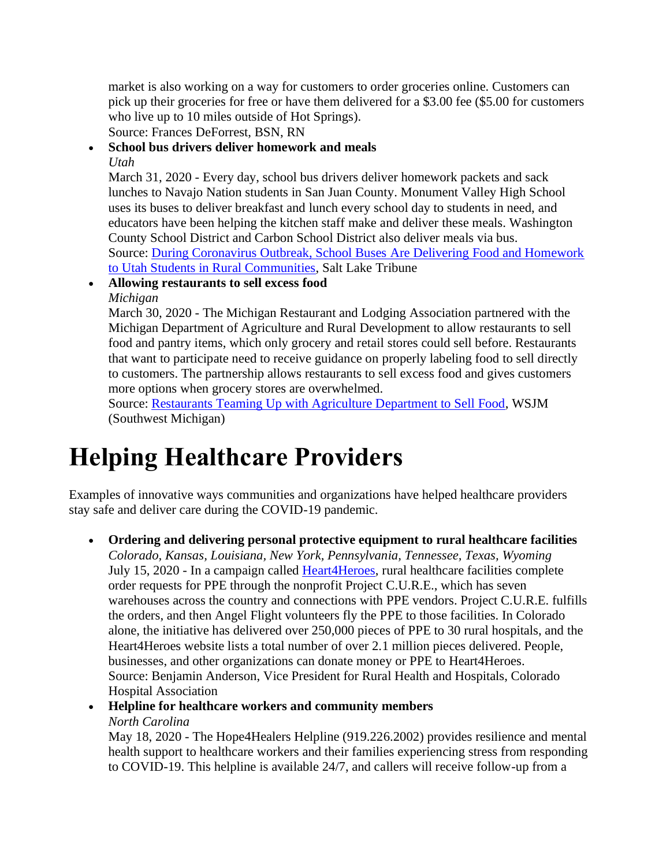market is also working on a way for customers to order groceries online. Customers can pick up their groceries for free or have them delivered for a \$3.00 fee (\$5.00 for customers who live up to 10 miles outside of Hot Springs).

Source: Frances DeForrest, BSN, RN

#### • **School bus drivers deliver homework and meals**

#### *Utah*

[to Utah Students in Rural Communities,](https://www.sltrib.com/news/2020/03/31/during-coronavirus/) Salt Lake Tribune March 31, 2020 - Every day, school bus drivers deliver homework packets and sack lunches to Navajo Nation students in San Juan County. Monument Valley High School uses its buses to deliver breakfast and lunch every school day to students in need, and educators have been helping the kitchen staff make and deliver these meals. Washington County School District and Carbon School District also deliver meals via bus. Source: [During Coronavirus Outbreak, School Buses Are Delivering Food and Homework](https://www.sltrib.com/news/2020/03/31/during-coronavirus/) 

• **Allowing restaurants to sell excess food** 

*Michigan* 

March 30, 2020 - The Michigan Restaurant and Lodging Association partnered with the Michigan Department of Agriculture and Rural Development to allow restaurants to sell food and pantry items, which only grocery and retail stores could sell before. Restaurants that want to participate need to receive guidance on properly labeling food to sell directly to customers. The partnership allows restaurants to sell excess food and gives customers more options when grocery stores are overwhelmed.

Source: [Restaurants Teaming Up with Agriculture Department to Sell Food,](https://www.wsjm.com/2020/03/30/restaurants-teaming-up-with-agriculture-department-to-sell-food/) WSJM (Southwest Michigan)

# **Helping Healthcare Providers**

Examples of innovative ways communities and organizations have helped healthcare providers stay safe and deliver care during the COVID-19 pandemic.

• **Ordering and delivering personal protective equipment to rural healthcare facilities**  *Colorado, Kansas, Louisiana, New York, Pennsylvania, Tennessee, Texas, Wyoming*  July 15, 2020 - In a campaign called [Heart4Heroes,](https://heart4heroes.org/) rural healthcare facilities complete order requests for PPE through the nonprofit Project C.U.R.E., which has seven warehouses across the country and connections with PPE vendors. Project C.U.R.E. fulfills the orders, and then Angel Flight volunteers fly the PPE to those facilities. In Colorado alone, the initiative has delivered over 250,000 pieces of PPE to 30 rural hospitals, and the Heart4Heroes website lists a total number of over 2.1 million pieces delivered. People, businesses, and other organizations can donate money or PPE to Heart4Heroes. Source: Benjamin Anderson, Vice President for Rural Health and Hospitals, Colorado Hospital Association

# • **Helpline for healthcare workers and community members**  *North Carolina*

May 18, 2020 - The Hope4Healers Helpline (919.226.2002) provides resilience and mental health support to healthcare workers and their families experiencing stress from responding to COVID-19. This helpline is available 24/7, and callers will receive follow-up from a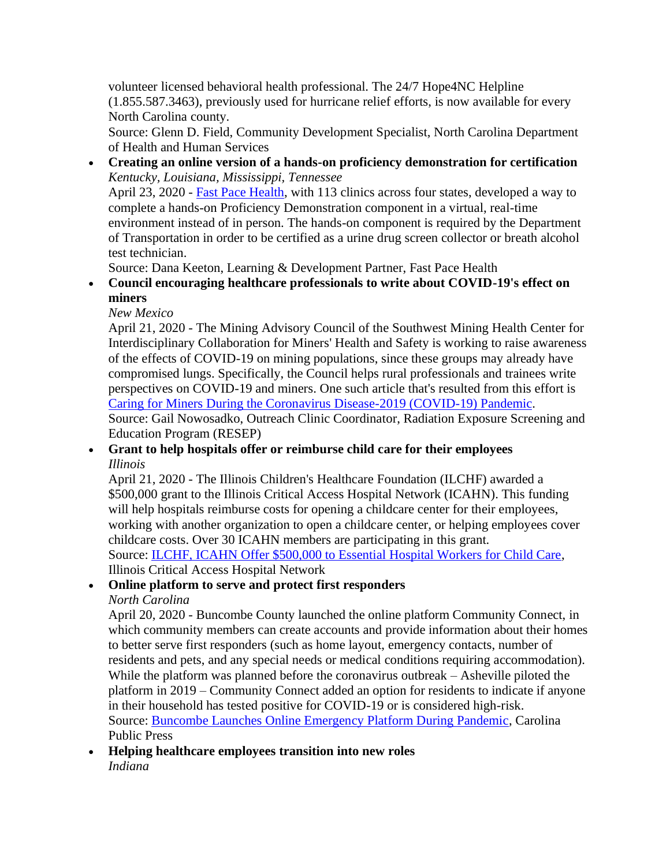volunteer licensed behavioral health professional. The 24/7 Hope4NC Helpline (1.855.587.3463), previously used for hurricane relief efforts, is now available for every North Carolina county.

Source: Glenn D. Field, Community Development Specialist, North Carolina Department of Health and Human Services

• **Creating an online version of a hands-on proficiency demonstration for certification**  *Kentucky, Louisiana, Mississippi, Tennessee*  April 23, 2020 - [Fast Pace Health,](https://fastpacehealth.com/) with 113 clinics across four states, developed a way to complete a hands-on Proficiency Demonstration component in a virtual, real-time environment instead of in person. The hands-on component is required by the Department of Transportation in order to be certified as a urine drug screen collector or breath alcohol test technician.

Source: Dana Keeton, Learning & Development Partner, Fast Pace Health

# • **Council encouraging healthcare professionals to write about COVID-19's effect on miners**

*New Mexico* 

April 21, 2020 - The Mining Advisory Council of the Southwest Mining Health Center for Interdisciplinary Collaboration for Miners' Health and Safety is working to raise awareness of the effects of COVID-19 on mining populations, since these groups may already have compromised lungs. Specifically, the Council helps rural professionals and trainees write perspectives on COVID-19 and miners. One such article that's resulted from this effort is [Caring for Miners During the Coronavirus Disease-2019 \(COVID-19\) Pandemic.](https://www.ncbi.nlm.nih.gov/pmc/articles/PMC7262277/pdf/JRH-9999-na.pdf)

Source: Gail Nowosadko, Outreach Clinic Coordinator, Radiation Exposure Screening and Education Program (RESEP)

#### • **Grant to help hospitals offer or reimburse child care for their employees**  *Illinois*

April 21, 2020 - The Illinois Children's Healthcare Foundation (ILCHF) awarded a \$500,000 grant to the Illinois Critical Access Hospital Network (ICAHN). This funding will help hospitals reimburse costs for opening a childcare center for their employees, working with another organization to open a childcare center, or helping employees cover childcare costs. Over 30 ICAHN members are participating in this grant.

Source: [ILCHF, ICAHN Offer \\$500,000 to Essential Hospital Workers for Child Care,](https://icahn.org/news/ilchf-icahn-offer-500000-to-essential-hospital-workers-for-child-care/) Illinois Critical Access Hospital Network

# • **Online platform to serve and protect first responders**

# *North Carolina*

April 20, 2020 - Buncombe County launched the online platform Community Connect, in which community members can create accounts and provide information about their homes to better serve first responders (such as home layout, emergency contacts, number of residents and pets, and any special needs or medical conditions requiring accommodation). While the platform was planned before the coronavirus outbreak – Asheville piloted the platform in 2019 – Community Connect added an option for residents to indicate if anyone in their household has tested positive for COVID-19 or is considered high-risk. Source: [Buncombe Launches Online Emergency Platform During Pandemic,](https://carolinapublicpress.org/30318/buncombe-launches-online-emergency-platform-during-pandemic/) Carolina Public Press

#### • **Helping healthcare employees transition into new roles**  *Indiana*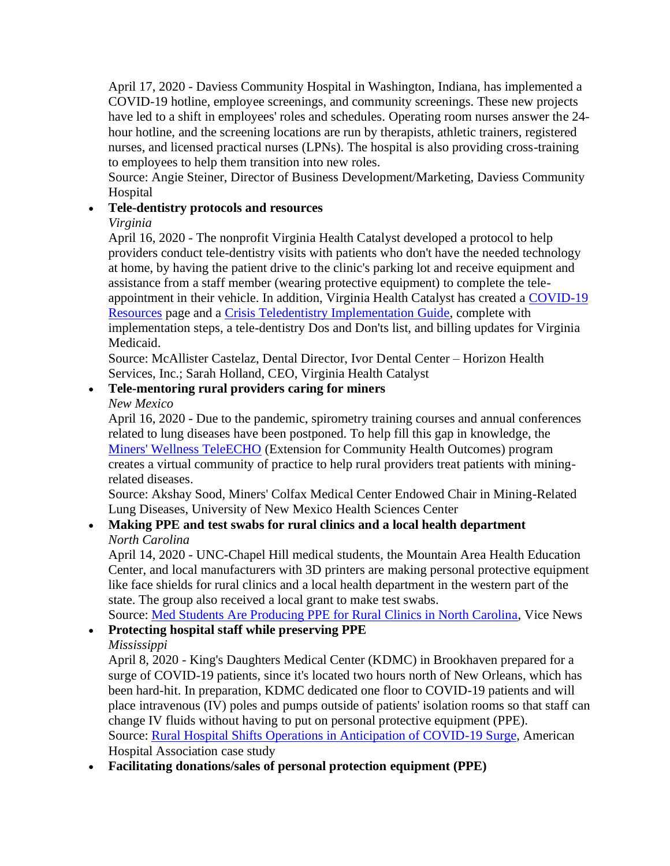April 17, 2020 - Daviess Community Hospital in Washington, Indiana, has implemented a COVID-19 hotline, employee screenings, and community screenings. These new projects have led to a shift in employees' roles and schedules. Operating room nurses answer the 24 hour hotline, and the screening locations are run by therapists, athletic trainers, registered nurses, and licensed practical nurses (LPNs). The hospital is also providing cross-training to employees to help them transition into new roles.

Source: Angie Steiner, Director of Business Development/Marketing, Daviess Community Hospital

# • **Tele-dentistry protocols and resources**

# *Virginia*

April 16, 2020 - The nonprofit Virginia Health Catalyst developed a protocol to help providers conduct tele-dentistry visits with patients who don't have the needed technology at home, by having the patient drive to the clinic's parking lot and receive equipment and assistance from a staff member (wearing protective equipment) to complete the teleappointment in their vehicle. In addition, Virginia Health Catalyst has created a [COVID-19](https://vahealthcatalyst.org/covid-19-resources/)  [Resources](https://vahealthcatalyst.org/covid-19-resources/) page and a [Crisis Teledentistry Implementation Guide,](https://vahealthcatalyst.org/wp-content/uploads/2020/04/Crisis-Teledentistry-Implementation-Guide.pdf) complete with implementation steps, a tele-dentistry Dos and Don'ts list, and billing updates for Virginia Medicaid.

Source: McAllister Castelaz, Dental Director, Ivor Dental Center – Horizon Health Services, Inc.; Sarah Holland, CEO, Virginia Health Catalyst

# • **Tele-mentoring rural providers caring for miners**

*New Mexico* 

 creates a virtual community of practice to help rural providers treat patients with mining-April 16, 2020 - Due to the pandemic, spirometry training courses and annual conferences related to lung diseases have been postponed. To help fill this gap in knowledge, the [Miners' Wellness TeleECHO](https://hsc.unm.edu/echo/partner-portal/programs/miners-wellness/) (Extension for Community Health Outcomes) program related diseases.

Source: Akshay Sood, Miners' Colfax Medical Center Endowed Chair in Mining-Related Lung Diseases, University of New Mexico Health Sciences Center

# • **Making PPE and test swabs for rural clinics and a local health department**  *North Carolina*

 Center, and local manufacturers with 3D printers are making personal protective equipment April 14, 2020 - UNC-Chapel Hill medical students, the Mountain Area Health Education like face shields for rural clinics and a local health department in the western part of the state. The group also received a local grant to make test swabs.

Source: [Med Students Are Producing PPE for Rural Clinics in North Carolina,](https://www.vice.com/en/article/y3m8xj/med-students-are-producing-ppe-for-rural-clinics-in-north-carolina) Vice News

# • **Protecting hospital staff while preserving PPE**

# *Mississippi*

April 8, 2020 - King's Daughters Medical Center (KDMC) in Brookhaven prepared for a surge of COVID-19 patients, since it's located two hours north of New Orleans, which has been hard-hit. In preparation, KDMC dedicated one floor to COVID-19 patients and will place intravenous (IV) poles and pumps outside of patients' isolation rooms so that staff can change IV fluids without having to put on personal protective equipment (PPE). Source: [Rural Hospital Shifts Operations in Anticipation of COVID-19 Surge,](https://www.aha.org/system/files/media/file/2020/04/rural-hospital-shifts-operations-in-anticipation-of-covid-19-surge-kings-daughters-medical-center-case-study.pdf) American Hospital Association case study

• **Facilitating donations/sales of personal protection equipment (PPE)**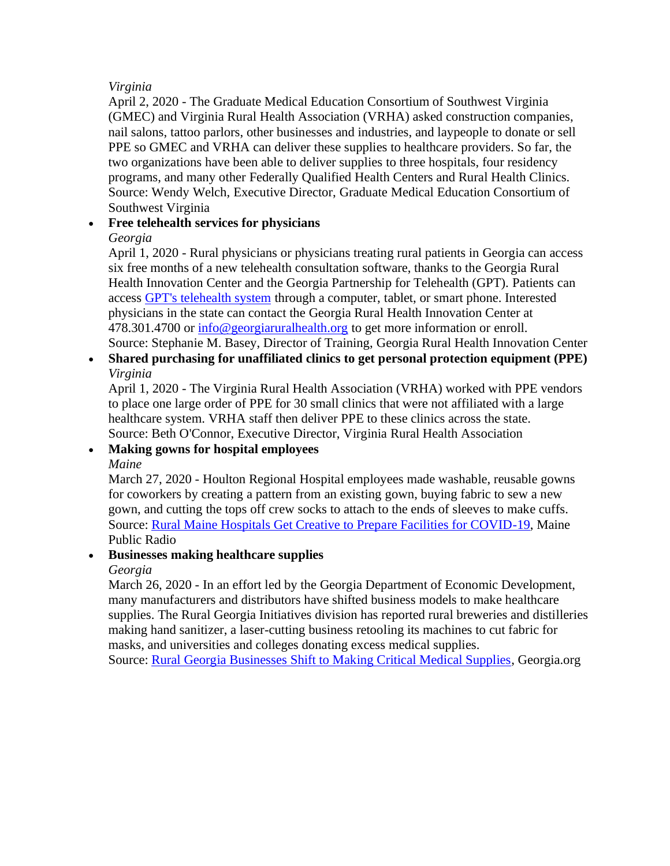#### *Virginia*

April 2, 2020 - The Graduate Medical Education Consortium of Southwest Virginia (GMEC) and Virginia Rural Health Association (VRHA) asked construction companies, nail salons, tattoo parlors, other businesses and industries, and laypeople to donate or sell PPE so GMEC and VRHA can deliver these supplies to healthcare providers. So far, the two organizations have been able to deliver supplies to three hospitals, four residency programs, and many other Federally Qualified Health Centers and Rural Health Clinics. Source: Wendy Welch, Executive Director, Graduate Medical Education Consortium of Southwest Virginia

# • **Free telehealth services for physicians**

#### *Georgia*

April 1, 2020 - Rural physicians or physicians treating rural patients in Georgia can access six free months of a new telehealth consultation software, thanks to the Georgia Rural Health Innovation Center and the Georgia Partnership for Telehealth (GPT). Patients can access [GPT's telehealth system](https://den.mercer.edu/georgia-rural-health-innovation-center-engages-georgia-partnership-for-telehealth-to-offer-free-telehealth-services-to-rural-physicians-during-covid-19-pandemic/) through a computer, tablet, or smart phone. Interested physicians in the state can contact the Georgia Rural Health Innovation Center at 478.301.4700 or [info@georgiaruralhealth.org](mailto:info@georgiaruralhealth.org) to get more information or enroll. Source: Stephanie M. Basey, Director of Training, Georgia Rural Health Innovation Center

• **Shared purchasing for unaffiliated clinics to get personal protection equipment (PPE)**  *Virginia* 

April 1, 2020 - The Virginia Rural Health Association (VRHA) worked with PPE vendors to place one large order of PPE for 30 small clinics that were not affiliated with a large healthcare system. VRHA staff then deliver PPE to these clinics across the state. Source: Beth O'Connor, Executive Director, Virginia Rural Health Association

#### • **Making gowns for hospital employees**

*Maine* 

March 27, 2020 - Houlton Regional Hospital employees made washable, reusable gowns for coworkers by creating a pattern from an existing gown, buying fabric to sew a new gown, and cutting the tops off crew socks to attach to the ends of sleeves to make cuffs. Source: [Rural Maine Hospitals Get Creative to Prepare Facilities for COVID-19,](https://www.mainepublic.org/health/2020-03-27/rural-maine-hospitals-get-creative-to-prepare-facilities-for-covid-19) Maine Public Radio

# • **Businesses making healthcare supplies**

*Georgia* 

March 26, 2020 - In an effort led by the Georgia Department of Economic Development, many manufacturers and distributors have shifted business models to make healthcare supplies. The Rural Georgia Initiatives division has reported rural breweries and distilleries making hand sanitizer, a laser-cutting business retooling its machines to cut fabric for masks, and universities and colleges donating excess medical supplies.

Source: [Rural Georgia Businesses Shift to Making Critical Medical Supplies,](https://www.georgia.org/newsroom/blogs/rural-georgia-businesses-shift-making-critical-medical-supplies) [Georgia.org](https://Georgia.org)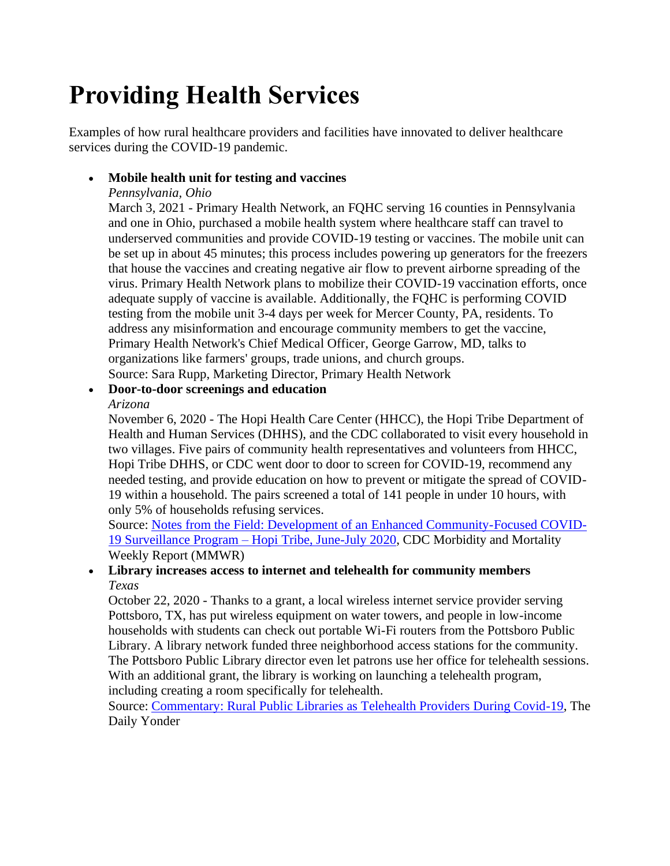# **Providing Health Services**

Examples of how rural healthcare providers and facilities have innovated to deliver healthcare services during the COVID-19 pandemic.

# • **Mobile health unit for testing and vaccines**

#### *Pennsylvania, Ohio*

March 3, 2021 - Primary Health Network, an FQHC serving 16 counties in Pennsylvania and one in Ohio, purchased a mobile health system where healthcare staff can travel to underserved communities and provide COVID-19 testing or vaccines. The mobile unit can be set up in about 45 minutes; this process includes powering up generators for the freezers that house the vaccines and creating negative air flow to prevent airborne spreading of the virus. Primary Health Network plans to mobilize their COVID-19 vaccination efforts, once adequate supply of vaccine is available. Additionally, the FQHC is performing COVID testing from the mobile unit 3-4 days per week for Mercer County, PA, residents. To address any misinformation and encourage community members to get the vaccine, Primary Health Network's Chief Medical Officer, George Garrow, MD, talks to organizations like farmers' groups, trade unions, and church groups. Source: Sara Rupp, Marketing Director, Primary Health Network

# • **Door-to-door screenings and education**

#### *Arizona*

November 6, 2020 - The Hopi Health Care Center (HHCC), the Hopi Tribe Department of Health and Human Services (DHHS), and the CDC collaborated to visit every household in two villages. Five pairs of community health representatives and volunteers from HHCC, Hopi Tribe DHHS, or CDC went door to door to screen for COVID-19, recommend any needed testing, and provide education on how to prevent or mitigate the spread of COVID-19 within a household. The pairs screened a total of 141 people in under 10 hours, with only 5% of households refusing services.

Source: [Notes from the Field: Development of an Enhanced Community-Focused COVID-](https://www.cdc.gov/mmwr/volumes/69/wr/mm6944a6.htm)19 Surveillance Program – [Hopi Tribe, June-July 2020,](https://www.cdc.gov/mmwr/volumes/69/wr/mm6944a6.htm) CDC Morbidity and Mortality Weekly Report (MMWR)

#### • **Library increases access to internet and telehealth for community members**  *Texas*

October 22, 2020 - Thanks to a grant, a local wireless internet service provider serving Pottsboro, TX, has put wireless equipment on water towers, and people in low-income households with students can check out portable Wi-Fi routers from the Pottsboro Public Library. A library network funded three neighborhood access stations for the community. The Pottsboro Public Library director even let patrons use her office for telehealth sessions. With an additional grant, the library is working on launching a telehealth program, including creating a room specifically for telehealth.

Source: [Commentary: Rural Public Libraries as Telehealth Providers During Covid-19,](https://dailyyonder.com/commentary-rural-public-libraries-as-telehealth-providers-during-covid-19/2020/10/22/) The Daily Yonder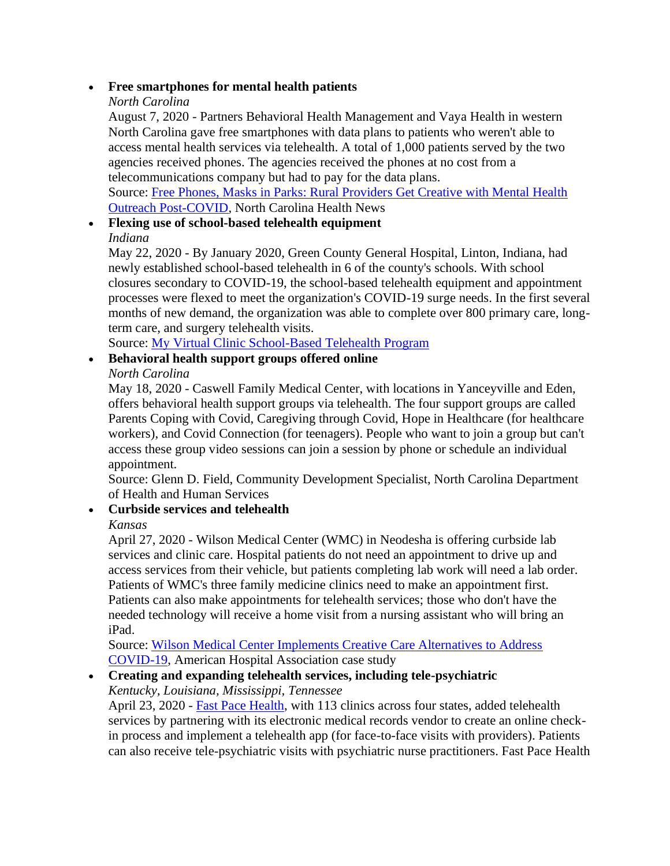#### • **Free smartphones for mental health patients**

#### *North Carolina*

 North Carolina gave free smartphones with data plans to patients who weren't able to agencies received phones. The agencies received the phones at no cost from a August 7, 2020 - Partners Behavioral Health Management and Vaya Health in western access mental health services via telehealth. A total of 1,000 patients served by the two telecommunications company but had to pay for the data plans.

Source: [Free Phones, Masks in Parks: Rural Providers Get Creative with Mental Health](https://www.northcarolinahealthnews.org/2020/08/07/free-phones-masks-in-parks-rural-providers-get-creative-with-mental-health-outreach-post-covid/)  [Outreach Post-COVID,](https://www.northcarolinahealthnews.org/2020/08/07/free-phones-masks-in-parks-rural-providers-get-creative-with-mental-health-outreach-post-covid/) North Carolina Health News

# • **Flexing use of school-based telehealth equipment**  *Indiana*

May 22, 2020 - By January 2020, Green County General Hospital, Linton, Indiana, had newly established school-based telehealth in 6 of the county's schools. With school closures secondary to COVID-19, the school-based telehealth equipment and appointment processes were flexed to meet the organization's COVID-19 surge needs. In the first several months of new demand, the organization was able to complete over 800 primary care, longterm care, and surgery telehealth visits.

Source: [My Virtual Clinic School-Based Telehealth Program](https://www.ruralhealthinfo.org/project-examples/1059) 

### • **Behavioral health support groups offered online**

*North Carolina* 

 workers), and Covid Connection (for teenagers). People who want to join a group but can't May 18, 2020 - Caswell Family Medical Center, with locations in Yanceyville and Eden, offers behavioral health support groups via telehealth. The four support groups are called Parents Coping with Covid, Caregiving through Covid, Hope in Healthcare (for healthcare access these group video sessions can join a session by phone or schedule an individual appointment.

Source: Glenn D. Field, Community Development Specialist, North Carolina Department of Health and Human Services

# • **Curbside services and telehealth**

# *Kansas*

April 27, 2020 - Wilson Medical Center (WMC) in Neodesha is offering curbside lab services and clinic care. Hospital patients do not need an appointment to drive up and access services from their vehicle, but patients completing lab work will need a lab order. Patients of WMC's three family medicine clinics need to make an appointment first. Patients can also make appointments for telehealth services; those who don't have the needed technology will receive a home visit from a nursing assistant who will bring an iPad.

Source: [Wilson Medical Center Implements Creative Care Alternatives to Address](https://www.aha.org/system/files/media/file/2020/04/rural-case-study-wilson-medical-center-implements-creative-care-alternatives-to-address-covid-19.pdf)  [COVID-19,](https://www.aha.org/system/files/media/file/2020/04/rural-case-study-wilson-medical-center-implements-creative-care-alternatives-to-address-covid-19.pdf) American Hospital Association case study

#### • **Creating and expanding telehealth services, including tele-psychiatric**  *Kentucky, Louisiana, Mississippi, Tennessee*

April 23, 2020 - [Fast Pace Health,](https://fastpacehealth.com/) with 113 clinics across four states, added telehealth services by partnering with its electronic medical records vendor to create an online checkin process and implement a telehealth app (for face-to-face visits with providers). Patients can also receive tele-psychiatric visits with psychiatric nurse practitioners. Fast Pace Health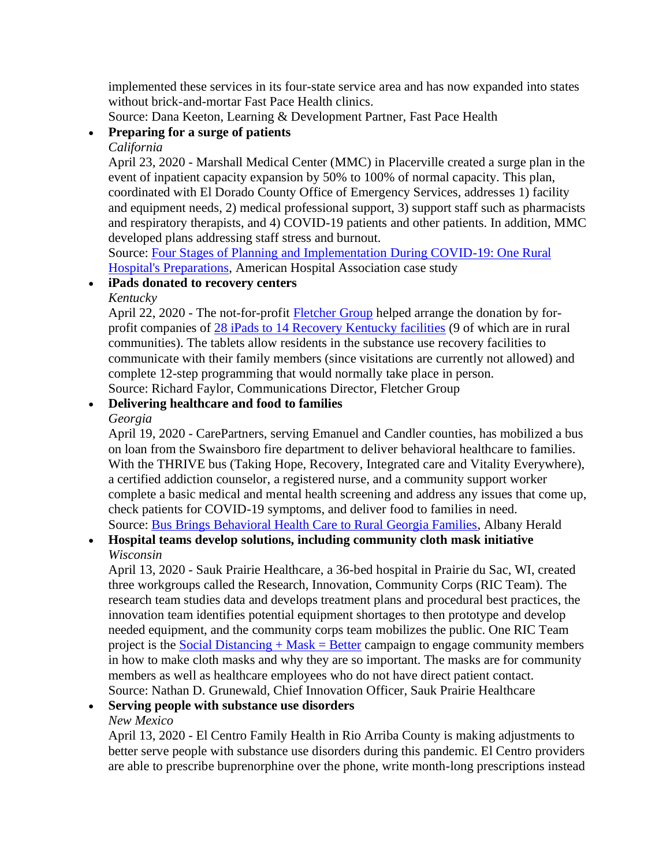implemented these services in its four-state service area and has now expanded into states without brick-and-mortar Fast Pace Health clinics.

Source: Dana Keeton, Learning & Development Partner, Fast Pace Health

# • **Preparing for a surge of patients**

#### *California*

April 23, 2020 - Marshall Medical Center (MMC) in Placerville created a surge plan in the event of inpatient capacity expansion by 50% to 100% of normal capacity. This plan, coordinated with El Dorado County Office of Emergency Services, addresses 1) facility and equipment needs, 2) medical professional support, 3) support staff such as pharmacists and respiratory therapists, and 4) COVID-19 patients and other patients. In addition, MMC developed plans addressing staff stress and burnout.

Source: [Four Stages of Planning and Implementation During COVID-19: One Rural](https://www.aha.org/system/files/media/file/2020/04/rural-members-in-action-case-study-four-stages-planning-implementation-during-covid-19-one-rural-hospital-preparations-marshall-medical-center.pdf)  [Hospital's Preparations,](https://www.aha.org/system/files/media/file/2020/04/rural-members-in-action-case-study-four-stages-planning-implementation-during-covid-19-one-rural-hospital-preparations-marshall-medical-center.pdf) American Hospital Association case study

#### • **iPads donated to recovery centers**

*Kentucky* 

April 22, 2020 - The not-for-profit [Fletcher Group](https://www.fletchergroup.org/) helped arrange the donation by forprofit companies of [28 iPads to 14 Recovery Kentucky facilities](https://www.newswire.com/news/ipad-donation-allows-recovery-to-continue-despite-physical-distancing-21128938) (9 of which are in rural communities). The tablets allow residents in the substance use recovery facilities to communicate with their family members (since visitations are currently not allowed) and complete 12-step programming that would normally take place in person. Source: Richard Faylor, Communications Director, Fletcher Group

# • **Delivering healthcare and food to families**

#### *Georgia*

Source: [Bus Brings Behavioral Health Care to Rural Georgia Families,](https://www.albanyherald.com/news/bus-brings-behavioral-health-care-to-rural-georgia-families/article_f81870f4-824d-11ea-8666-8feb51edd950.html) Albany Herald April 19, 2020 - CarePartners, serving Emanuel and Candler counties, has mobilized a bus on loan from the Swainsboro fire department to deliver behavioral healthcare to families. With the THRIVE bus (Taking Hope, Recovery, Integrated care and Vitality Everywhere), a certified addiction counselor, a registered nurse, and a community support worker complete a basic medical and mental health screening and address any issues that come up, check patients for COVID-19 symptoms, and deliver food to families in need.

### • **Hospital teams develop solutions, including community cloth mask initiative**  *Wisconsin*

project is the **Social Distancing + Mask = Better** campaign to engage community members April 13, 2020 - Sauk Prairie Healthcare, a 36-bed hospital in Prairie du Sac, WI, created three workgroups called the Research, Innovation, Community Corps (RIC Team). The research team studies data and develops treatment plans and procedural best practices, the innovation team identifies potential equipment shortages to then prototype and develop needed equipment, and the community corps team mobilizes the public. One RIC Team in how to make cloth masks and why they are so important. The masks are for community members as well as healthcare employees who do not have direct patient contact. Source: Nathan D. Grunewald, Chief Innovation Officer, Sauk Prairie Healthcare

#### • **Serving people with substance use disorders**  *New Mexico*

April 13, 2020 - El Centro Family Health in Rio Arriba County is making adjustments to better serve people with substance use disorders during this pandemic. El Centro providers are able to prescribe buprenorphine over the phone, write month-long prescriptions instead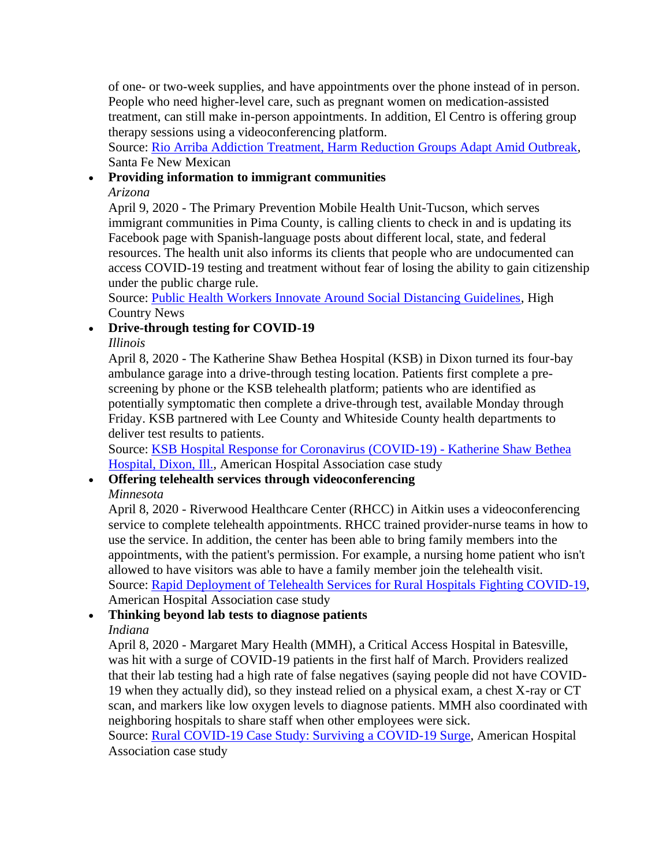of one- or two-week supplies, and have appointments over the phone instead of in person. People who need higher-level care, such as pregnant women on medication-assisted treatment, can still make in-person appointments. In addition, El Centro is offering group therapy sessions using a videoconferencing platform.

Source: [Rio Arriba Addiction Treatment, Harm Reduction Groups Adapt Amid Outbreak,](https://www.santafenewmexican.com/news/coronavirus/rio-arriba-addiction-treatment-harm-reduction-groups-adapt-amid-outbreak/article_bc8ed31e-72a0-11ea-906f-27c2594f86f0.html) Santa Fe New Mexican

#### • **Providing information to immigrant communities**

*Arizona* 

April 9, 2020 - The Primary Prevention Mobile Health Unit-Tucson, which serves immigrant communities in Pima County, is calling clients to check in and is updating its Facebook page with Spanish-language posts about different local, state, and federal resources. The health unit also informs its clients that people who are undocumented can access COVID-19 testing and treatment without fear of losing the ability to gain citizenship under the public charge rule.

Source: [Public Health Workers Innovate Around Social Distancing Guidelines,](https://www.hcn.org/issues/52.5/covid19-public-health-workers-innovate-around-social-distancing-guidelines) High Country News

### • **Drive-through testing for COVID-19**

*Illinois* 

 ambulance garage into a drive-through testing location. Patients first complete a pre-April 8, 2020 - The Katherine Shaw Bethea Hospital (KSB) in Dixon turned its four-bay screening by phone or the KSB telehealth platform; patients who are identified as potentially symptomatic then complete a drive-through test, available Monday through Friday. KSB partnered with Lee County and Whiteside County health departments to deliver test results to patients.

Source: [KSB Hospital Response for Coronavirus \(COVID-19\) -](https://www.aha.org/system/files/media/file/2020/04/ksb-hospital-response-for-coronavirus-covid-19-rural-case-study_2.pdf) Katherine Shaw Bethea [Hospital, Dixon, Ill.,](https://www.aha.org/system/files/media/file/2020/04/ksb-hospital-response-for-coronavirus-covid-19-rural-case-study_2.pdf) American Hospital Association case study

# • **Offering telehealth services through videoconferencing**

*Minnesota* 

April 8, 2020 - Riverwood Healthcare Center (RHCC) in Aitkin uses a videoconferencing service to complete telehealth appointments. RHCC trained provider-nurse teams in how to use the service. In addition, the center has been able to bring family members into the appointments, with the patient's permission. For example, a nursing home patient who isn't allowed to have visitors was able to have a family member join the telehealth visit. Source: [Rapid Deployment of Telehealth Services for Rural Hospitals Fighting COVID-19,](https://www.aha.org/system/files/media/file/2020/04/advice-for-hospitals-quickly-implementing-telehealth-programs-during-covid-19-rural-case-study.pdf) American Hospital Association case study

# • **Thinking beyond lab tests to diagnose patients**

#### *Indiana*

April 8, 2020 - Margaret Mary Health (MMH), a Critical Access Hospital in Batesville, was hit with a surge of COVID-19 patients in the first half of March. Providers realized that their lab testing had a high rate of false negatives (saying people did not have COVID-19 when they actually did), so they instead relied on a physical exam, a chest X-ray or CT scan, and markers like low oxygen levels to diagnose patients. MMH also coordinated with neighboring hospitals to share staff when other employees were sick.

Source: [Rural COVID-19 Case Study: Surviving a COVID-19 Surge,](https://www.aha.org/system/files/media/file/2020/04/rural-covid-19-case-study-surviving-a-covid-19-surge-margaret-mary-health.pdf) American Hospital Association case study